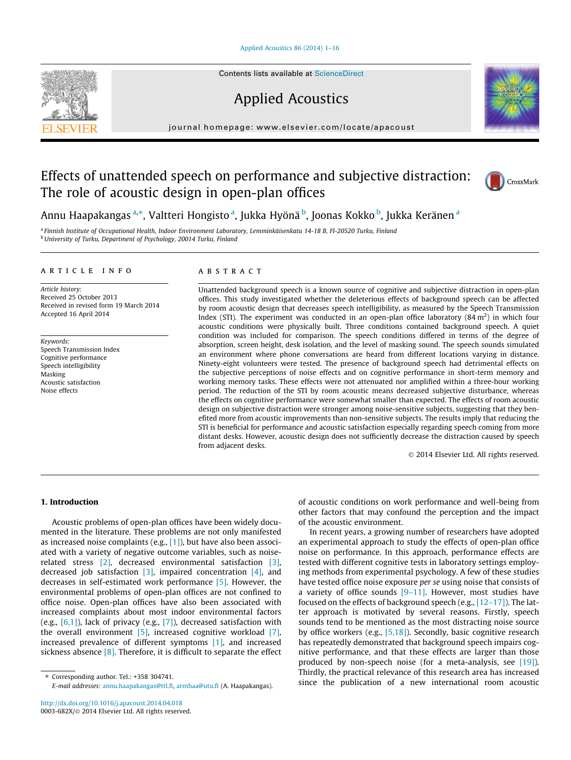# [Applied Acoustics 86 \(2014\) 1–16](http://dx.doi.org/10.1016/j.apacoust.2014.04.018)

Contents lists available at [ScienceDirect](http://www.sciencedirect.com/science/journal/0003682X)

# Applied Acoustics

journal homepage: [www.elsevier.com/locate/apacoust](http://www.elsevier.com/locate/apacoust)

# Effects of unattended speech on performance and subjective distraction: The role of acoustic design in open-plan offices



Annu Haapakangas <sup>a,</sup>\*, Valtteri Hongisto <sup>a</sup>, Jukka Hyönä <sup>b</sup>, Joonas Kokko <sup>b</sup>, Jukka Keränen <sup>a</sup>

<sup>a</sup> Finnish Institute of Occupational Health, Indoor Environment Laboratory, Lemminkäisenkatu 14-18 B, FI-20520 Turku, Finland **b** University of Turku, Department of Psychology, 20014 Turku, Finland

#### article info

Article history: Received 25 October 2013 Received in revised form 19 March 2014 Accepted 16 April 2014

Keywords: Speech Transmission Index Cognitive performance Speech intelligibility Masking Acoustic satisfaction Noise effects

## ABSTRACT

Unattended background speech is a known source of cognitive and subjective distraction in open-plan offices. This study investigated whether the deleterious effects of background speech can be affected by room acoustic design that decreases speech intelligibility, as measured by the Speech Transmission Index (STI). The experiment was conducted in an open-plan office laboratory  $(84 \text{ m}^2)$  in which four acoustic conditions were physically built. Three conditions contained background speech. A quiet condition was included for comparison. The speech conditions differed in terms of the degree of absorption, screen height, desk isolation, and the level of masking sound. The speech sounds simulated an environment where phone conversations are heard from different locations varying in distance. Ninety-eight volunteers were tested. The presence of background speech had detrimental effects on the subjective perceptions of noise effects and on cognitive performance in short-term memory and working memory tasks. These effects were not attenuated nor amplified within a three-hour working period. The reduction of the STI by room acoustic means decreased subjective disturbance, whereas the effects on cognitive performance were somewhat smaller than expected. The effects of room acoustic design on subjective distraction were stronger among noise-sensitive subjects, suggesting that they benefited more from acoustic improvements than non-sensitive subjects. The results imply that reducing the STI is beneficial for performance and acoustic satisfaction especially regarding speech coming from more distant desks. However, acoustic design does not sufficiently decrease the distraction caused by speech from adjacent desks.

- 2014 Elsevier Ltd. All rights reserved.

# 1. Introduction

Acoustic problems of open-plan offices have been widely documented in the literature. These problems are not only manifested as increased noise complaints (e.g., [\[1\]\)](#page-14-0), but have also been associated with a variety of negative outcome variables, such as noiserelated stress [\[2\]](#page-14-0), decreased environmental satisfaction [\[3\],](#page-14-0) decreased job satisfaction  $[3]$ , impaired concentration  $[4]$ , and decreases in self-estimated work performance [\[5\]](#page-14-0). However, the environmental problems of open-plan offices are not confined to office noise. Open-plan offices have also been associated with increased complaints about most indoor environmental factors (e.g.,  $[6,1]$ ), lack of privacy (e.g.,  $[7]$ ), decreased satisfaction with the overall environment [\[5\]](#page-14-0), increased cognitive workload [\[7\],](#page-14-0) increased prevalence of different symptoms [\[1\]](#page-14-0), and increased sickness absence  $[8]$ . Therefore, it is difficult to separate the effect

E-mail addresses: [annu.haapakangas@ttl.fi,](mailto:annu.haapakangas@ttl.fi) [armhaa@utu.fi](mailto:armhaa@utu.fi) (A. Haapakangas).

of acoustic conditions on work performance and well-being from other factors that may confound the perception and the impact of the acoustic environment.

In recent years, a growing number of researchers have adopted an experimental approach to study the effects of open-plan office noise on performance. In this approach, performance effects are tested with different cognitive tests in laboratory settings employing methods from experimental psychology. A few of these studies have tested office noise exposure per se using noise that consists of a variety of office sounds  $[9-11]$ . However, most studies have focused on the effects of background speech (e.g., [\[12–17\]\)](#page-14-0). The latter approach is motivated by several reasons. Firstly, speech sounds tend to be mentioned as the most distracting noise source by office workers (e.g., [\[5,18\]](#page-14-0)). Secondly, basic cognitive research has repeatedly demonstrated that background speech impairs cognitive performance, and that these effects are larger than those produced by non-speech noise (for a meta-analysis, see [\[19\]\)](#page-14-0). Thirdly, the practical relevance of this research area has increased since the publication of a new international room acoustic



<sup>⇑</sup> Corresponding author. Tel.: +358 304741.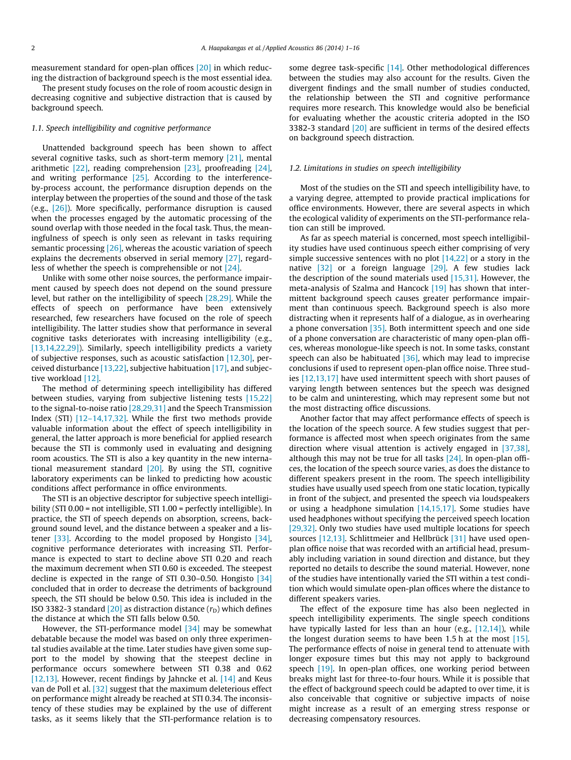measurement standard for open-plan offices [\[20\]](#page-14-0) in which reducing the distraction of background speech is the most essential idea.

The present study focuses on the role of room acoustic design in decreasing cognitive and subjective distraction that is caused by background speech.

## 1.1. Speech intelligibility and cognitive performance

Unattended background speech has been shown to affect several cognitive tasks, such as short-term memory [\[21\],](#page-14-0) mental arithmetic [\[22\],](#page-14-0) reading comprehension [\[23\],](#page-14-0) proofreading [\[24\],](#page-14-0) and writing performance [\[25\].](#page-14-0) According to the interferenceby-process account, the performance disruption depends on the interplay between the properties of the sound and those of the task (e.g., [\[26\]](#page-14-0)). More specifically, performance disruption is caused when the processes engaged by the automatic processing of the sound overlap with those needed in the focal task. Thus, the meaningfulness of speech is only seen as relevant in tasks requiring semantic processing [\[26\],](#page-14-0) whereas the acoustic variation of speech explains the decrements observed in serial memory [\[27\]](#page-14-0), regardless of whether the speech is comprehensible or not [\[24\]](#page-14-0).

Unlike with some other noise sources, the performance impairment caused by speech does not depend on the sound pressure level, but rather on the intelligibility of speech [\[28,29\]](#page-14-0). While the effects of speech on performance have been extensively researched, few researchers have focused on the role of speech intelligibility. The latter studies show that performance in several cognitive tasks deteriorates with increasing intelligibility (e.g., [\[13,14,22,29\]](#page-14-0)). Similarly, speech intelligibility predicts a variety of subjective responses, such as acoustic satisfaction [\[12,30\]](#page-14-0), perceived disturbance [\[13,22\],](#page-14-0) subjective habituation [\[17\],](#page-14-0) and subjective workload [\[12\]](#page-14-0).

The method of determining speech intelligibility has differed between studies, varying from subjective listening tests [\[15,22\]](#page-14-0) to the signal-to-noise ratio [\[28,29,31\]](#page-14-0) and the Speech Transmission Index (STI) [\[12–14,17,32\].](#page-14-0) While the first two methods provide valuable information about the effect of speech intelligibility in general, the latter approach is more beneficial for applied research because the STI is commonly used in evaluating and designing room acoustics. The STI is also a key quantity in the new international measurement standard [\[20\].](#page-14-0) By using the STI, cognitive laboratory experiments can be linked to predicting how acoustic conditions affect performance in office environments.

The STI is an objective descriptor for subjective speech intelligibility (STI 0.00 = not intelligible, STI 1.00 = perfectly intelligible). In practice, the STI of speech depends on absorption, screens, background sound level, and the distance between a speaker and a listener [\[33\]](#page-14-0). According to the model proposed by Hongisto [\[34\],](#page-14-0) cognitive performance deteriorates with increasing STI. Performance is expected to start to decline above STI 0.20 and reach the maximum decrement when STI 0.60 is exceeded. The steepest decline is expected in the range of STI 0.30–0.50. Hongisto [\[34\]](#page-14-0) concluded that in order to decrease the detriments of background speech, the STI should be below 0.50. This idea is included in the ISO 3382-3 standard  $[20]$  as distraction distance  $(r_D)$  which defines the distance at which the STI falls below 0.50.

However, the STI-performance model [\[34\]](#page-14-0) may be somewhat debatable because the model was based on only three experimental studies available at the time. Later studies have given some support to the model by showing that the steepest decline in performance occurs somewhere between STI 0.38 and 0.62 [\[12,13\].](#page-14-0) However, recent findings by Jahncke et al. [\[14\]](#page-14-0) and Keus van de Poll et al. [\[32\]](#page-14-0) suggest that the maximum deleterious effect on performance might already be reached at STI 0.34. The inconsistency of these studies may be explained by the use of different tasks, as it seems likely that the STI-performance relation is to some degree task-specific [\[14\].](#page-14-0) Other methodological differences between the studies may also account for the results. Given the divergent findings and the small number of studies conducted, the relationship between the STI and cognitive performance requires more research. This knowledge would also be beneficial for evaluating whether the acoustic criteria adopted in the ISO 3382-3 standard [\[20\]](#page-14-0) are sufficient in terms of the desired effects on background speech distraction.

## 1.2. Limitations in studies on speech intelligibility

Most of the studies on the STI and speech intelligibility have, to a varying degree, attempted to provide practical implications for office environments. However, there are several aspects in which the ecological validity of experiments on the STI-performance relation can still be improved.

As far as speech material is concerned, most speech intelligibility studies have used continuous speech either comprising of very simple successive sentences with no plot  $[14,22]$  or a story in the native [\[32\]](#page-14-0) or a foreign language [\[29\]](#page-14-0). A few studies lack the description of the sound materials used [\[15,31\]](#page-14-0). However, the meta-analysis of Szalma and Hancock [\[19\]](#page-14-0) has shown that intermittent background speech causes greater performance impairment than continuous speech. Background speech is also more distracting when it represents half of a dialogue, as in overhearing a phone conversation  $[35]$ . Both intermittent speech and one side of a phone conversation are characteristic of many open-plan offices, whereas monologue-like speech is not. In some tasks, constant speech can also be habituated  $[36]$ , which may lead to imprecise conclusions if used to represent open-plan office noise. Three studies [\[12,13,17\]](#page-14-0) have used intermittent speech with short pauses of varying length between sentences but the speech was designed to be calm and uninteresting, which may represent some but not the most distracting office discussions.

Another factor that may affect performance effects of speech is the location of the speech source. A few studies suggest that performance is affected most when speech originates from the same direction where visual attention is actively engaged in [\[37,38\],](#page-14-0) although this may not be true for all tasks  $[24]$ . In open-plan offices, the location of the speech source varies, as does the distance to different speakers present in the room. The speech intelligibility studies have usually used speech from one static location, typically in front of the subject, and presented the speech via loudspeakers or using a headphone simulation  $[14,15,17]$ . Some studies have used headphones without specifying the perceived speech location [\[29,32\].](#page-14-0) Only two studies have used multiple locations for speech sources [\[12,13\].](#page-14-0) Schlittmeier and Hellbrück [\[31\]](#page-14-0) have used openplan office noise that was recorded with an artificial head, presumably including variation in sound direction and distance, but they reported no details to describe the sound material. However, none of the studies have intentionally varied the STI within a test condition which would simulate open-plan offices where the distance to different speakers varies.

The effect of the exposure time has also been neglected in speech intelligibility experiments. The single speech conditions have typically lasted for less than an hour (e.g., [\[12,14\]\)](#page-14-0), while the longest duration seems to have been 1.5 h at the most [\[15\].](#page-14-0) The performance effects of noise in general tend to attenuate with longer exposure times but this may not apply to background speech [\[19\]](#page-14-0). In open-plan offices, one working period between breaks might last for three-to-four hours. While it is possible that the effect of background speech could be adapted to over time, it is also conceivable that cognitive or subjective impacts of noise might increase as a result of an emerging stress response or decreasing compensatory resources.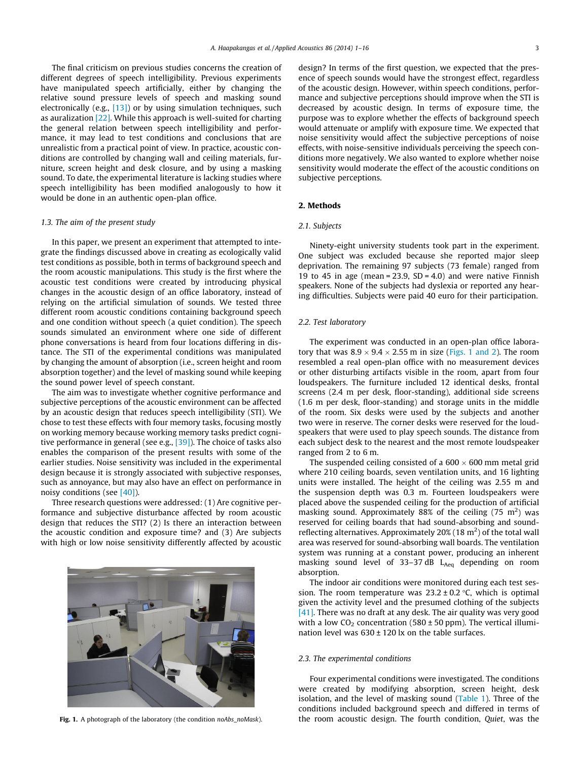The final criticism on previous studies concerns the creation of different degrees of speech intelligibility. Previous experiments have manipulated speech artificially, either by changing the relative sound pressure levels of speech and masking sound electronically (e.g., [\[13\]\)](#page-14-0) or by using simulation techniques, such as auralization [\[22\]](#page-14-0). While this approach is well-suited for charting the general relation between speech intelligibility and performance, it may lead to test conditions and conclusions that are unrealistic from a practical point of view. In practice, acoustic conditions are controlled by changing wall and ceiling materials, furniture, screen height and desk closure, and by using a masking sound. To date, the experimental literature is lacking studies where speech intelligibility has been modified analogously to how it would be done in an authentic open-plan office.

## 1.3. The aim of the present study

In this paper, we present an experiment that attempted to integrate the findings discussed above in creating as ecologically valid test conditions as possible, both in terms of background speech and the room acoustic manipulations. This study is the first where the acoustic test conditions were created by introducing physical changes in the acoustic design of an office laboratory, instead of relying on the artificial simulation of sounds. We tested three different room acoustic conditions containing background speech and one condition without speech (a quiet condition). The speech sounds simulated an environment where one side of different phone conversations is heard from four locations differing in distance. The STI of the experimental conditions was manipulated by changing the amount of absorption (i.e., screen height and room absorption together) and the level of masking sound while keeping the sound power level of speech constant.

The aim was to investigate whether cognitive performance and subjective perceptions of the acoustic environment can be affected by an acoustic design that reduces speech intelligibility (STI). We chose to test these effects with four memory tasks, focusing mostly on working memory because working memory tasks predict cognitive performance in general (see e.g., [\[39\]](#page-14-0)). The choice of tasks also enables the comparison of the present results with some of the earlier studies. Noise sensitivity was included in the experimental design because it is strongly associated with subjective responses, such as annoyance, but may also have an effect on performance in noisy conditions (see [\[40\]\)](#page-14-0).

Three research questions were addressed: (1) Are cognitive performance and subjective disturbance affected by room acoustic design that reduces the STI? (2) Is there an interaction between the acoustic condition and exposure time? and (3) Are subjects with high or low noise sensitivity differently affected by acoustic



design? In terms of the first question, we expected that the presence of speech sounds would have the strongest effect, regardless of the acoustic design. However, within speech conditions, performance and subjective perceptions should improve when the STI is decreased by acoustic design. In terms of exposure time, the purpose was to explore whether the effects of background speech would attenuate or amplify with exposure time. We expected that noise sensitivity would affect the subjective perceptions of noise effects, with noise-sensitive individuals perceiving the speech conditions more negatively. We also wanted to explore whether noise sensitivity would moderate the effect of the acoustic conditions on subjective perceptions.

# 2. Methods

# 2.1. Subjects

Ninety-eight university students took part in the experiment. One subject was excluded because she reported major sleep deprivation. The remaining 97 subjects (73 female) ranged from 19 to 45 in age (mean =  $23.9$ , SD =  $4.0$ ) and were native Finnish speakers. None of the subjects had dyslexia or reported any hearing difficulties. Subjects were paid 40 euro for their participation.

# 2.2. Test laboratory

The experiment was conducted in an open-plan office laboratory that was  $8.9 \times 9.4 \times 2.55$  m in size (Figs. 1 and 2). The room resembled a real open-plan office with no measurement devices or other disturbing artifacts visible in the room, apart from four loudspeakers. The furniture included 12 identical desks, frontal screens (2.4 m per desk, floor-standing), additional side screens (1.6 m per desk, floor-standing) and storage units in the middle of the room. Six desks were used by the subjects and another two were in reserve. The corner desks were reserved for the loudspeakers that were used to play speech sounds. The distance from each subject desk to the nearest and the most remote loudspeaker ranged from 2 to 6 m.

The suspended ceiling consisted of a 600  $\times$  600 mm metal grid where 210 ceiling boards, seven ventilation units, and 16 lighting units were installed. The height of the ceiling was 2.55 m and the suspension depth was 0.3 m. Fourteen loudspeakers were placed above the suspended ceiling for the production of artificial masking sound. Approximately 88% of the ceiling  $(75 \text{ m}^2)$  was reserved for ceiling boards that had sound-absorbing and soundreflecting alternatives. Approximately 20% (18  $m<sup>2</sup>$ ) of the total wall area was reserved for sound-absorbing wall boards. The ventilation system was running at a constant power, producing an inherent masking sound level of 33-37 dB LAeq depending on room absorption.

The indoor air conditions were monitored during each test session. The room temperature was  $23.2 \pm 0.2$  °C, which is optimal given the activity level and the presumed clothing of the subjects [\[41\]](#page-14-0). There was no draft at any desk. The air quality was very good with a low  $CO_2$  concentration (580  $\pm$  50 ppm). The vertical illumination level was  $630 \pm 120$  lx on the table surfaces.

#### 2.3. The experimental conditions

Four experimental conditions were investigated. The conditions were created by modifying absorption, screen height, desk isolation, and the level of masking sound [\(Table 1\)](#page-3-0). Three of the conditions included background speech and differed in terms of Fig. 1. A photograph of the laboratory (the condition noAbs\_noMask). the room acoustic design. The fourth condition, Quiet, was the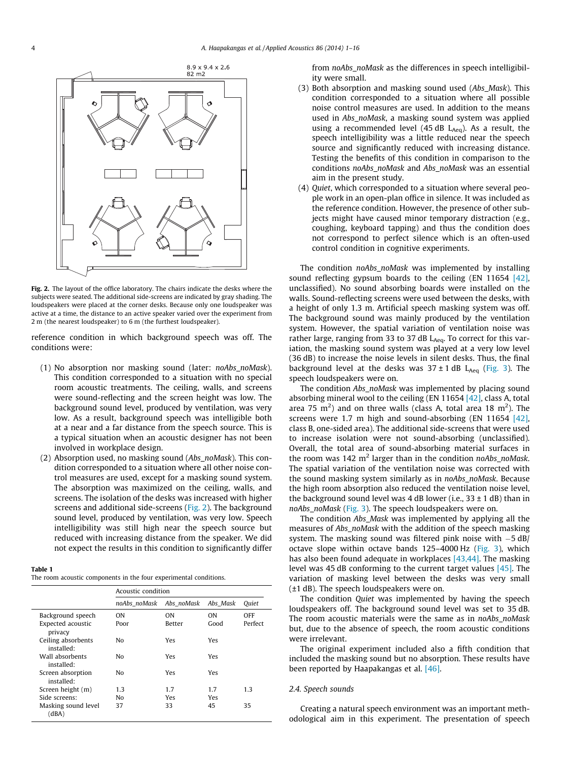<span id="page-3-0"></span>

Fig. 2. The layout of the office laboratory. The chairs indicate the desks where the subjects were seated. The additional side-screens are indicated by gray shading. The loudspeakers were placed at the corner desks. Because only one loudspeaker was active at a time, the distance to an active speaker varied over the experiment from 2 m (the nearest loudspeaker) to 6 m (the furthest loudspeaker).

reference condition in which background speech was off. The conditions were:

- (1) No absorption nor masking sound (later: noAbs noMask). This condition corresponded to a situation with no special room acoustic treatments. The ceiling, walls, and screens were sound-reflecting and the screen height was low. The background sound level, produced by ventilation, was very low. As a result, background speech was intelligible both at a near and a far distance from the speech source. This is a typical situation when an acoustic designer has not been involved in workplace design.
- (2) Absorption used, no masking sound (Abs\_noMask). This condition corresponded to a situation where all other noise control measures are used, except for a masking sound system. The absorption was maximized on the ceiling, walls, and screens. The isolation of the desks was increased with higher screens and additional side-screens (Fig. 2). The background sound level, produced by ventilation, was very low. Speech intelligibility was still high near the speech source but reduced with increasing distance from the speaker. We did not expect the results in this condition to significantly differ

#### Table 1

The room acoustic components in the four experimental conditions.

|                                           | Acoustic condition |               |                |                            |
|-------------------------------------------|--------------------|---------------|----------------|----------------------------|
|                                           | noAbs noMask       | Abs noMask    | Abs Mask       | <i><u><b>Ouiet</b></u></i> |
| Background speech                         | 0 <sub>N</sub>     | ON            | 0 <sub>N</sub> | OFF                        |
| Expected acoustic<br>privacy              | Poor               | <b>Better</b> | Good           | Perfect                    |
| Ceiling absorbents<br>installed:          | No                 | <b>Yes</b>    | Yes            |                            |
| Wall absorbents<br>installed <sup>.</sup> | N <sub>0</sub>     | Yes           | Yes            |                            |
| Screen absorption<br>installed:           | No                 | Yes           | Yes            |                            |
| Screen height (m)                         | 1.3                | 1.7           | 1.7            | 1.3                        |
| Side screens:                             | No                 | Yes           | Yes            |                            |
| Masking sound level<br>(dBA)              | 37                 | 33            | 45             | 35                         |

from noAbs noMask as the differences in speech intelligibility were small.

- (3) Both absorption and masking sound used (Abs Mask). This condition corresponded to a situation where all possible noise control measures are used. In addition to the means used in Abs\_noMask, a masking sound system was applied using a recommended level (45 dB  $L_{Aeq}$ ). As a result, the speech intelligibility was a little reduced near the speech source and significantly reduced with increasing distance. Testing the benefits of this condition in comparison to the conditions noAbs\_noMask and Abs\_noMask was an essential aim in the present study.
- (4) Quiet, which corresponded to a situation where several people work in an open-plan office in silence. It was included as the reference condition. However, the presence of other subjects might have caused minor temporary distraction (e.g., coughing, keyboard tapping) and thus the condition does not correspond to perfect silence which is an often-used control condition in cognitive experiments.

The condition noAbs\_noMask was implemented by installing sound reflecting gypsum boards to the ceiling (EN 11654 [\[42\],](#page-14-0) unclassified). No sound absorbing boards were installed on the walls. Sound-reflecting screens were used between the desks, with a height of only 1.3 m. Artificial speech masking system was off. The background sound was mainly produced by the ventilation system. However, the spatial variation of ventilation noise was rather large, ranging from 33 to 37 dB  $L_{Aeq}$ . To correct for this variation, the masking sound system was played at a very low level (36 dB) to increase the noise levels in silent desks. Thus, the final background level at the desks was  $37 \pm 1$  dB L<sub>Aeq</sub> [\(Fig. 3\)](#page-4-0). The speech loudspeakers were on.

The condition Abs\_noMask was implemented by placing sound absorbing mineral wool to the ceiling (EN 11654  $[42]$ , class A, total area 75 m<sup>2</sup>) and on three walls (class A, total area 18 m<sup>2</sup>). The screens were 1.7 m high and sound-absorbing (EN 11654 [\[42\],](#page-14-0) class B, one-sided area). The additional side-screens that were used to increase isolation were not sound-absorbing (unclassified). Overall, the total area of sound-absorbing material surfaces in the room was 142  $m^2$  larger than in the condition noAbs\_noMask. The spatial variation of the ventilation noise was corrected with the sound masking system similarly as in noAbs\_noMask. Because the high room absorption also reduced the ventilation noise level, the background sound level was 4 dB lower (i.e.,  $33 \pm 1$  dB) than in noAbs\_noMask [\(Fig. 3\)](#page-4-0). The speech loudspeakers were on.

The condition Abs\_Mask was implemented by applying all the measures of Abs\_noMask with the addition of the speech masking system. The masking sound was filtered pink noise with  $-5$  dB/ octave slope within octave bands 125–4000 Hz ([Fig. 3](#page-4-0)), which has also been found adequate in workplaces  $[43,44]$ . The masking level was 45 dB conforming to the current target values [\[45\]](#page-14-0). The variation of masking level between the desks was very small (±1 dB). The speech loudspeakers were on.

The condition Quiet was implemented by having the speech loudspeakers off. The background sound level was set to 35 dB. The room acoustic materials were the same as in noAbs\_noMask but, due to the absence of speech, the room acoustic conditions were irrelevant.

The original experiment included also a fifth condition that included the masking sound but no absorption. These results have been reported by Haapakangas et al. [\[46\].](#page-14-0)

# 2.4. Speech sounds

Creating a natural speech environment was an important methodological aim in this experiment. The presentation of speech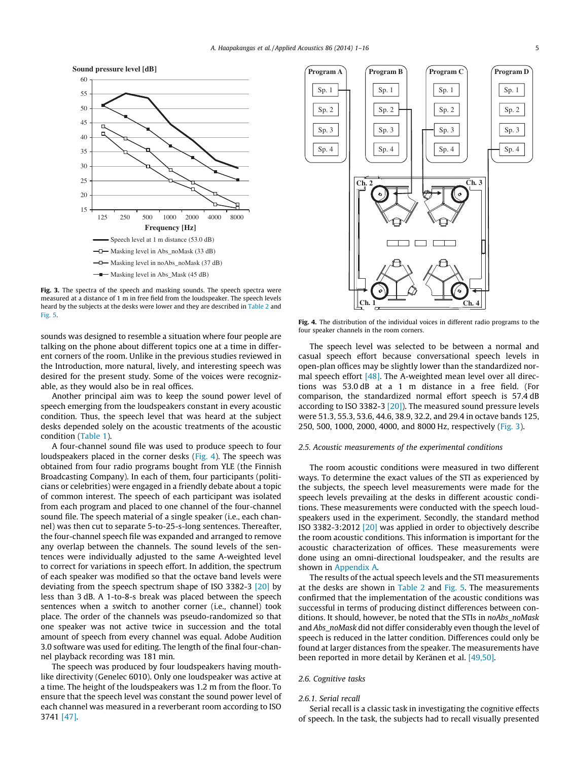<span id="page-4-0"></span>

Fig. 3. The spectra of the speech and masking sounds. The speech spectra were measured at a distance of 1 m in free field from the loudspeaker. The speech levels heard by the subjects at the desks were lower and they are described in [Table 2](#page-5-0) and [Fig. 5.](#page-5-0)

sounds was designed to resemble a situation where four people are talking on the phone about different topics one at a time in different corners of the room. Unlike in the previous studies reviewed in the Introduction, more natural, lively, and interesting speech was desired for the present study. Some of the voices were recognizable, as they would also be in real offices.

Another principal aim was to keep the sound power level of speech emerging from the loudspeakers constant in every acoustic condition. Thus, the speech level that was heard at the subject desks depended solely on the acoustic treatments of the acoustic condition [\(Table 1\)](#page-3-0).

A four-channel sound file was used to produce speech to four loudspeakers placed in the corner desks (Fig. 4). The speech was obtained from four radio programs bought from YLE (the Finnish Broadcasting Company). In each of them, four participants (politicians or celebrities) were engaged in a friendly debate about a topic of common interest. The speech of each participant was isolated from each program and placed to one channel of the four-channel sound file. The speech material of a single speaker (i.e., each channel) was then cut to separate 5-to-25-s-long sentences. Thereafter, the four-channel speech file was expanded and arranged to remove any overlap between the channels. The sound levels of the sentences were individually adjusted to the same A-weighted level to correct for variations in speech effort. In addition, the spectrum of each speaker was modified so that the octave band levels were deviating from the speech spectrum shape of ISO 3382-3 [\[20\]](#page-14-0) by less than 3 dB. A 1-to-8-s break was placed between the speech sentences when a switch to another corner (i.e., channel) took place. The order of the channels was pseudo-randomized so that one speaker was not active twice in succession and the total amount of speech from every channel was equal. Adobe Audition 3.0 software was used for editing. The length of the final four-channel playback recording was 181 min.

The speech was produced by four loudspeakers having mouthlike directivity (Genelec 6010). Only one loudspeaker was active at a time. The height of the loudspeakers was 1.2 m from the floor. To ensure that the speech level was constant the sound power level of each channel was measured in a reverberant room according to ISO 3741 [\[47\].](#page-14-0)



Fig. 4. The distribution of the individual voices in different radio programs to the four speaker channels in the room corners.

The speech level was selected to be between a normal and casual speech effort because conversational speech levels in open-plan offices may be slightly lower than the standardized normal speech effort [\[48\]](#page-14-0). The A-weighted mean level over all directions was 53.0 dB at a 1 m distance in a free field. (For comparison, the standardized normal effort speech is 57.4 dB according to ISO 3382-3 [\[20\]](#page-14-0)). The measured sound pressure levels were 51.3, 55.3, 53.6, 44.6, 38.9, 32.2, and 29.4 in octave bands 125, 250, 500, 1000, 2000, 4000, and 8000 Hz, respectively (Fig. 3).

# 2.5. Acoustic measurements of the experimental conditions

The room acoustic conditions were measured in two different ways. To determine the exact values of the STI as experienced by the subjects, the speech level measurements were made for the speech levels prevailing at the desks in different acoustic conditions. These measurements were conducted with the speech loudspeakers used in the experiment. Secondly, the standard method ISO 3382-3:2012 [\[20\]](#page-14-0) was applied in order to objectively describe the room acoustic conditions. This information is important for the acoustic characterization of offices. These measurements were done using an omni-directional loudspeaker, and the results are shown in [Appendix A](#page-13-0).

The results of the actual speech levels and the STI measurements at the desks are shown in [Table 2](#page-5-0) and [Fig. 5.](#page-5-0) The measurements confirmed that the implementation of the acoustic conditions was successful in terms of producing distinct differences between conditions. It should, however, be noted that the STIs in noAbs\_noMask and Abs\_noMask did not differ considerably even though the level of speech is reduced in the latter condition. Differences could only be found at larger distances from the speaker. The measurements have been reported in more detail by Keränen et al. [\[49,50\].](#page-14-0)

# 2.6. Cognitive tasks

# 2.6.1. Serial recall

Serial recall is a classic task in investigating the cognitive effects of speech. In the task, the subjects had to recall visually presented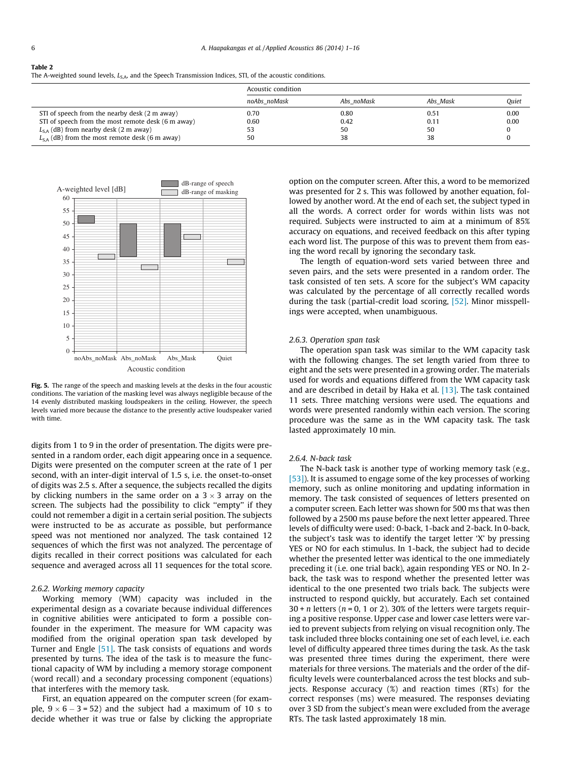<span id="page-5-0"></span>

| Table 2                                                                                                       |  |  |
|---------------------------------------------------------------------------------------------------------------|--|--|
| The A-weighted sound levels, $L_{SA}$ , and the Speech Transmission Indices, STI, of the acoustic conditions. |  |  |

|                                                    | Acoustic condition |            |          |              |
|----------------------------------------------------|--------------------|------------|----------|--------------|
|                                                    | noAbs noMask       | Abs noMask | Abs Mask | <b>Quiet</b> |
| STI of speech from the nearby desk (2 m away)      | 0.70               | 0.80       | 0.51     | 0.00         |
| STI of speech from the most remote desk (6 m away) | 0.60               | 0.42       | 0.11     | 0.00         |
| $L_{SA}$ (dB) from nearby desk (2 m away)          | 53                 | 50         | 50       |              |
| $L_{SA}$ (dB) from the most remote desk (6 m away) | 50                 | 38         | 38       |              |



Fig. 5. The range of the speech and masking levels at the desks in the four acoustic conditions. The variation of the masking level was always negligible because of the 14 evenly distributed masking loudspeakers in the ceiling. However, the speech levels varied more because the distance to the presently active loudspeaker varied with time.

digits from 1 to 9 in the order of presentation. The digits were presented in a random order, each digit appearing once in a sequence. Digits were presented on the computer screen at the rate of 1 per second, with an inter-digit interval of 1.5 s, i.e. the onset-to-onset of digits was 2.5 s. After a sequence, the subjects recalled the digits by clicking numbers in the same order on a 3  $\times$  3 array on the screen. The subjects had the possibility to click ''empty'' if they could not remember a digit in a certain serial position. The subjects were instructed to be as accurate as possible, but performance speed was not mentioned nor analyzed. The task contained 12 sequences of which the first was not analyzed. The percentage of digits recalled in their correct positions was calculated for each sequence and averaged across all 11 sequences for the total score.

#### 2.6.2. Working memory capacity

Working memory (WM) capacity was included in the experimental design as a covariate because individual differences in cognitive abilities were anticipated to form a possible confounder in the experiment. The measure for WM capacity was modified from the original operation span task developed by Turner and Engle [\[51\]](#page-14-0). The task consists of equations and words presented by turns. The idea of the task is to measure the functional capacity of WM by including a memory storage component (word recall) and a secondary processing component (equations) that interferes with the memory task.

First, an equation appeared on the computer screen (for example,  $9 \times 6 - 3$  = 52) and the subject had a maximum of 10 s to decide whether it was true or false by clicking the appropriate option on the computer screen. After this, a word to be memorized was presented for 2 s. This was followed by another equation, followed by another word. At the end of each set, the subject typed in all the words. A correct order for words within lists was not required. Subjects were instructed to aim at a minimum of 85% accuracy on equations, and received feedback on this after typing each word list. The purpose of this was to prevent them from easing the word recall by ignoring the secondary task.

The length of equation-word sets varied between three and seven pairs, and the sets were presented in a random order. The task consisted of ten sets. A score for the subject's WM capacity was calculated by the percentage of all correctly recalled words during the task (partial-credit load scoring, [\[52\].](#page-14-0) Minor misspellings were accepted, when unambiguous.

# 2.6.3. Operation span task

The operation span task was similar to the WM capacity task with the following changes. The set length varied from three to eight and the sets were presented in a growing order. The materials used for words and equations differed from the WM capacity task and are described in detail by Haka et al. [\[13\]](#page-14-0). The task contained 11 sets. Three matching versions were used. The equations and words were presented randomly within each version. The scoring procedure was the same as in the WM capacity task. The task lasted approximately 10 min.

# 2.6.4. N-back task

The N-back task is another type of working memory task (e.g., [\[53\]](#page-14-0)). It is assumed to engage some of the key processes of working memory, such as online monitoring and updating information in memory. The task consisted of sequences of letters presented on a computer screen. Each letter was shown for 500 ms that was then followed by a 2500 ms pause before the next letter appeared. Three levels of difficulty were used: 0-back, 1-back and 2-back. In 0-back, the subject's task was to identify the target letter 'X' by pressing YES or NO for each stimulus. In 1-back, the subject had to decide whether the presented letter was identical to the one immediately preceding it (i.e. one trial back), again responding YES or NO. In 2 back, the task was to respond whether the presented letter was identical to the one presented two trials back. The subjects were instructed to respond quickly, but accurately. Each set contained  $30 + n$  letters ( $n = 0$ , 1 or 2). 30% of the letters were targets requiring a positive response. Upper case and lower case letters were varied to prevent subjects from relying on visual recognition only. The task included three blocks containing one set of each level, i.e. each level of difficulty appeared three times during the task. As the task was presented three times during the experiment, there were materials for three versions. The materials and the order of the difficulty levels were counterbalanced across the test blocks and subjects. Response accuracy (%) and reaction times (RTs) for the correct responses (ms) were measured. The responses deviating over 3 SD from the subject's mean were excluded from the average RTs. The task lasted approximately 18 min.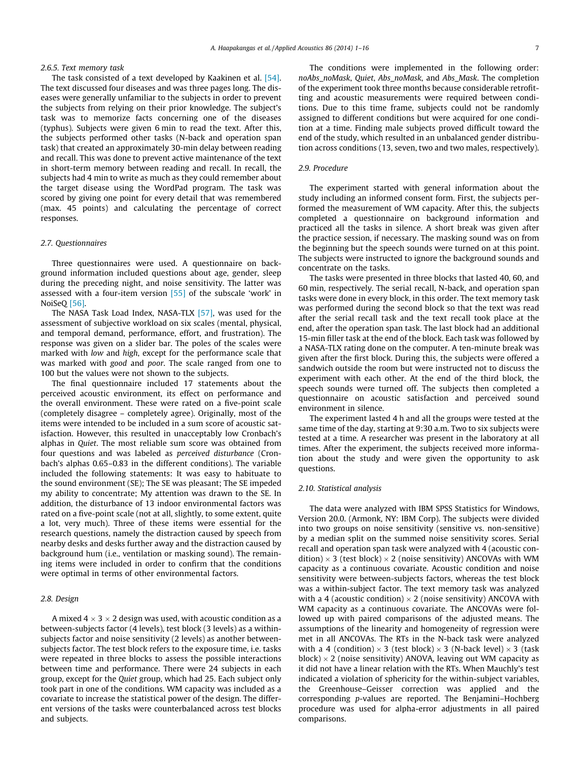#### 2.6.5. Text memory task

The task consisted of a text developed by Kaakinen et al. [\[54\].](#page-14-0) The text discussed four diseases and was three pages long. The diseases were generally unfamiliar to the subjects in order to prevent the subjects from relying on their prior knowledge. The subject's task was to memorize facts concerning one of the diseases (typhus). Subjects were given 6 min to read the text. After this, the subjects performed other tasks (N-back and operation span task) that created an approximately 30-min delay between reading and recall. This was done to prevent active maintenance of the text in short-term memory between reading and recall. In recall, the subjects had 4 min to write as much as they could remember about the target disease using the WordPad program. The task was scored by giving one point for every detail that was remembered (max. 45 points) and calculating the percentage of correct responses.

# 2.7. Questionnaires

Three questionnaires were used. A questionnaire on background information included questions about age, gender, sleep during the preceding night, and noise sensitivity. The latter was assessed with a four-item version [\[55\]](#page-14-0) of the subscale 'work' in NoiSeQ [\[56\]](#page-14-0).

The NASA Task Load Index, NASA-TLX [\[57\]](#page-14-0), was used for the assessment of subjective workload on six scales (mental, physical, and temporal demand, performance, effort, and frustration). The response was given on a slider bar. The poles of the scales were marked with low and high, except for the performance scale that was marked with good and poor. The scale ranged from one to 100 but the values were not shown to the subjects.

The final questionnaire included 17 statements about the perceived acoustic environment, its effect on performance and the overall environment. These were rated on a five-point scale (completely disagree – completely agree). Originally, most of the items were intended to be included in a sum score of acoustic satisfaction. However, this resulted in unacceptably low Cronbach's alphas in Quiet. The most reliable sum score was obtained from four questions and was labeled as perceived disturbance (Cronbach's alphas 0.65–0.83 in the different conditions). The variable included the following statements: It was easy to habituate to the sound environment (SE); The SE was pleasant; The SE impeded my ability to concentrate; My attention was drawn to the SE. In addition, the disturbance of 13 indoor environmental factors was rated on a five-point scale (not at all, slightly, to some extent, quite a lot, very much). Three of these items were essential for the research questions, namely the distraction caused by speech from nearby desks and desks further away and the distraction caused by background hum (i.e., ventilation or masking sound). The remaining items were included in order to confirm that the conditions were optimal in terms of other environmental factors.

# 2.8. Design

A mixed 4  $\times$  3  $\times$  2 design was used, with acoustic condition as a between-subjects factor (4 levels), test block (3 levels) as a withinsubjects factor and noise sensitivity (2 levels) as another betweensubjects factor. The test block refers to the exposure time, i.e. tasks were repeated in three blocks to assess the possible interactions between time and performance. There were 24 subjects in each group, except for the Quiet group, which had 25. Each subject only took part in one of the conditions. WM capacity was included as a covariate to increase the statistical power of the design. The different versions of the tasks were counterbalanced across test blocks and subjects.

The conditions were implemented in the following order: noAbs\_noMask, Quiet, Abs\_noMask, and Abs\_Mask. The completion of the experiment took three months because considerable retrofitting and acoustic measurements were required between conditions. Due to this time frame, subjects could not be randomly assigned to different conditions but were acquired for one condition at a time. Finding male subjects proved difficult toward the end of the study, which resulted in an unbalanced gender distribution across conditions (13, seven, two and two males, respectively).

# 2.9. Procedure

The experiment started with general information about the study including an informed consent form. First, the subjects performed the measurement of WM capacity. After this, the subjects completed a questionnaire on background information and practiced all the tasks in silence. A short break was given after the practice session, if necessary. The masking sound was on from the beginning but the speech sounds were turned on at this point. The subjects were instructed to ignore the background sounds and concentrate on the tasks.

The tasks were presented in three blocks that lasted 40, 60, and 60 min, respectively. The serial recall, N-back, and operation span tasks were done in every block, in this order. The text memory task was performed during the second block so that the text was read after the serial recall task and the text recall took place at the end, after the operation span task. The last block had an additional 15-min filler task at the end of the block. Each task was followed by a NASA-TLX rating done on the computer. A ten-minute break was given after the first block. During this, the subjects were offered a sandwich outside the room but were instructed not to discuss the experiment with each other. At the end of the third block, the speech sounds were turned off. The subjects then completed a questionnaire on acoustic satisfaction and perceived sound environment in silence.

The experiment lasted 4 h and all the groups were tested at the same time of the day, starting at 9:30 a.m. Two to six subjects were tested at a time. A researcher was present in the laboratory at all times. After the experiment, the subjects received more information about the study and were given the opportunity to ask questions.

# 2.10. Statistical analysis

The data were analyzed with IBM SPSS Statistics for Windows, Version 20.0. (Armonk, NY: IBM Corp). The subjects were divided into two groups on noise sensitivity (sensitive vs. non-sensitive) by a median split on the summed noise sensitivity scores. Serial recall and operation span task were analyzed with 4 (acoustic condition)  $\times$  3 (test block)  $\times$  2 (noise sensitivity) ANCOVAs with WM capacity as a continuous covariate. Acoustic condition and noise sensitivity were between-subjects factors, whereas the test block was a within-subject factor. The text memory task was analyzed with a 4 (acoustic condition)  $\times$  2 (noise sensitivity) ANCOVA with WM capacity as a continuous covariate. The ANCOVAs were followed up with paired comparisons of the adjusted means. The assumptions of the linearity and homogeneity of regression were met in all ANCOVAs. The RTs in the N-back task were analyzed with a 4 (condition)  $\times$  3 (test block)  $\times$  3 (N-back level)  $\times$  3 (task block)  $\times$  2 (noise sensitivity) ANOVA, leaving out WM capacity as it did not have a linear relation with the RTs. When Mauchly's test indicated a violation of sphericity for the within-subject variables, the Greenhouse–Geisser correction was applied and the corresponding p-values are reported. The Benjamini–Hochberg procedure was used for alpha-error adjustments in all paired comparisons.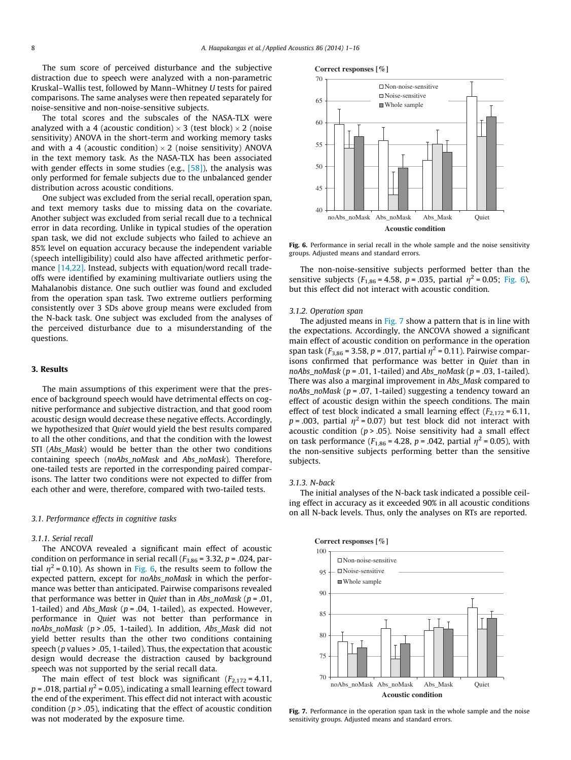The sum score of perceived disturbance and the subjective distraction due to speech were analyzed with a non-parametric Kruskal–Wallis test, followed by Mann–Whitney U tests for paired comparisons. The same analyses were then repeated separately for noise-sensitive and non-noise-sensitive subjects.

The total scores and the subscales of the NASA-TLX were analyzed with a 4 (acoustic condition)  $\times$  3 (test block)  $\times$  2 (noise sensitivity) ANOVA in the short-term and working memory tasks and with a 4 (acoustic condition) $\times 2$  (noise sensitivity) ANOVA in the text memory task. As the NASA-TLX has been associated with gender effects in some studies (e.g., [\[58\]\)](#page-14-0), the analysis was only performed for female subjects due to the unbalanced gender distribution across acoustic conditions.

One subject was excluded from the serial recall, operation span, and text memory tasks due to missing data on the covariate. Another subject was excluded from serial recall due to a technical error in data recording. Unlike in typical studies of the operation span task, we did not exclude subjects who failed to achieve an 85% level on equation accuracy because the independent variable (speech intelligibility) could also have affected arithmetic performance [\[14,22\]](#page-14-0). Instead, subjects with equation/word recall tradeoffs were identified by examining multivariate outliers using the Mahalanobis distance. One such outlier was found and excluded from the operation span task. Two extreme outliers performing consistently over 3 SDs above group means were excluded from the N-back task. One subject was excluded from the analyses of the perceived disturbance due to a misunderstanding of the questions.

#### 3. Results

The main assumptions of this experiment were that the presence of background speech would have detrimental effects on cognitive performance and subjective distraction, and that good room acoustic design would decrease these negative effects. Accordingly, we hypothesized that Quiet would yield the best results compared to all the other conditions, and that the condition with the lowest STI (Abs\_Mask) would be better than the other two conditions containing speech (noAbs\_noMask and Abs\_noMask). Therefore, one-tailed tests are reported in the corresponding paired comparisons. The latter two conditions were not expected to differ from each other and were, therefore, compared with two-tailed tests.

#### 3.1. Performance effects in cognitive tasks

# 3.1.1. Serial recall

The ANCOVA revealed a significant main effect of acoustic condition on performance in serial recall ( $F_{3,86}$  = 3.32, p = .024, partial  $\eta^2$  = 0.10). As shown in Fig. 6, the results seem to follow the expected pattern, except for noAbs\_noMask in which the performance was better than anticipated. Pairwise comparisons revealed that performance was better in Quiet than in Abs\_noMask ( $p = .01$ , 1-tailed) and  $Abs\_Mask$  ( $p = .04$ , 1-tailed), as expected. However, performance in Quiet was not better than performance in noAbs\_noMask ( $p > .05$ , 1-tailed). In addition, Abs\_Mask did not yield better results than the other two conditions containing speech ( $p$  values  $> 0.05$ , 1-tailed). Thus, the expectation that acoustic design would decrease the distraction caused by background speech was not supported by the serial recall data.

The main effect of test block was significant  $(F_{2,172} = 4.11,$  $p = 0.018$ , partial  $\eta^2 = 0.05$ ), indicating a small learning effect toward the end of the experiment. This effect did not interact with acoustic condition ( $p > .05$ ), indicating that the effect of acoustic condition was not moderated by the exposure time.



Fig. 6. Performance in serial recall in the whole sample and the noise sensitivity groups. Adjusted means and standard errors.

The non-noise-sensitive subjects performed better than the sensitive subjects ( $F_{1,86}$  = 4.58, p = .035, partial  $\eta^2$  = 0.05; Fig. 6), but this effect did not interact with acoustic condition.

## 3.1.2. Operation span

The adjusted means in Fig. 7 show a pattern that is in line with the expectations. Accordingly, the ANCOVA showed a significant main effect of acoustic condition on performance in the operation span task ( $F_{3,86}$  = 3.58, p = .017, partial  $\eta^2$  = 0.11). Pairwise comparisons confirmed that performance was better in Quiet than in noAbs\_noMask ( $p = .01$ , 1-tailed) and Abs\_noMask ( $p = .03$ , 1-tailed). There was also a marginal improvement in Abs\_Mask compared to  $noAbs\_noMask$  ( $p = .07$ , 1-tailed) suggesting a tendency toward an effect of acoustic design within the speech conditions. The main effect of test block indicated a small learning effect  $(F_{2,172} = 6.11,$  $p = .003$ , partial  $\eta^2 = 0.07$ ) but test block did not interact with acoustic condition ( $p > .05$ ). Noise sensitivity had a small effect on task performance ( $F_{1,86}$  = 4.28, p = .042, partial  $\eta^2$  = 0.05), with the non-sensitive subjects performing better than the sensitive subjects.

#### 3.1.3. N-back

The initial analyses of the N-back task indicated a possible ceiling effect in accuracy as it exceeded 90% in all acoustic conditions on all N-back levels. Thus, only the analyses on RTs are reported.



Fig. 7. Performance in the operation span task in the whole sample and the noise sensitivity groups. Adjusted means and standard errors.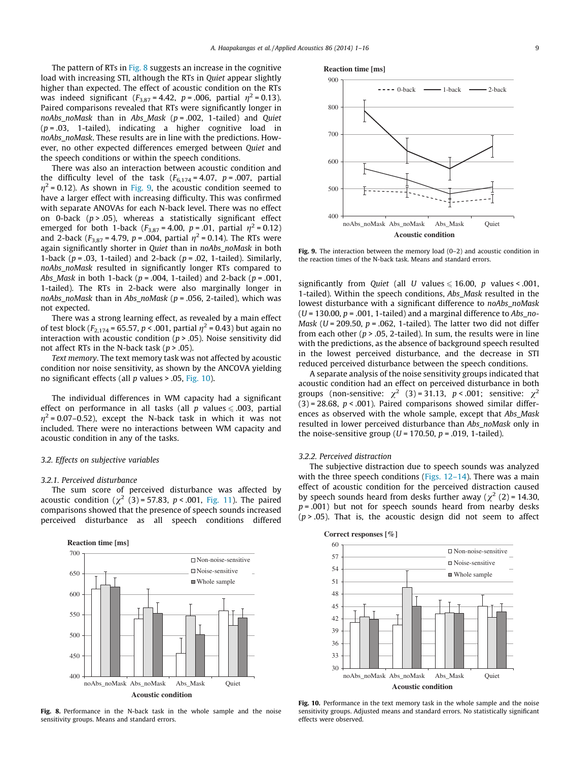The pattern of RTs in Fig. 8 suggests an increase in the cognitive load with increasing STI, although the RTs in *Ouiet* appear slightly higher than expected. The effect of acoustic condition on the RTs was indeed significant  $(F_{3,87} = 4.42, p = .006,$  partial  $\eta^2 = 0.13$ ). Paired comparisons revealed that RTs were significantly longer in  $noAbs\_noMask$  than in  $Abs\_Mask$  ( $p = .002$ , 1-tailed) and Quiet  $(p=.03, 1-tailed)$ , indicating a higher cognitive load in noAbs\_noMask. These results are in line with the predictions. However, no other expected differences emerged between Quiet and the speech conditions or within the speech conditions.

There was also an interaction between acoustic condition and the difficulty level of the task  $(F_{6,174} = 4.07, p = .007,$  partial  $\eta^2$  = 0.12). As shown in Fig. 9, the acoustic condition seemed to have a larger effect with increasing difficulty. This was confirmed with separate ANOVAs for each N-back level. There was no effect on 0-back ( $p > .05$ ), whereas a statistically significant effect emerged for both 1-back ( $F_{3,87} = 4.00$ ,  $p = .01$ , partial  $\eta^2 = 0.12$ ) and 2-back ( $F_{3,87}$  = 4.79, p = .004, partial  $\eta$ <sup>2</sup> = 0.14). The RTs were again significantly shorter in Quiet than in noAbs\_noMask in both 1-back ( $p = .03$ , 1-tailed) and 2-back ( $p = .02$ , 1-tailed). Similarly, noAbs\_noMask resulted in significantly longer RTs compared to Abs\_Mask in both 1-back ( $p = .004$ , 1-tailed) and 2-back ( $p = .001$ , 1-tailed). The RTs in 2-back were also marginally longer in noAbs\_noMask than in Abs\_noMask ( $p = .056$ , 2-tailed), which was not expected.

There was a strong learning effect, as revealed by a main effect of test block ( $F_{2,174}$  = 65.57, p < .001, partial  $\eta^2$  = 0.43) but again no interaction with acoustic condition ( $p > .05$ ). Noise sensitivity did not affect RTs in the N-back task ( $p > .05$ ).

Text memory. The text memory task was not affected by acoustic condition nor noise sensitivity, as shown by the ANCOVA yielding no significant effects (all  $p$  values > .05, Fig. 10).

The individual differences in WM capacity had a significant effect on performance in all tasks (all p values  $\leq$  .003, partial  $\eta^2$  = 0.07–0.52), except the N-back task in which it was not included. There were no interactions between WM capacity and acoustic condition in any of the tasks.

#### 3.2. Effects on subjective variables

## 3.2.1. Perceived disturbance

The sum score of perceived disturbance was affected by acoustic condition  $(\chi^2$  (3) = 57.83, p < .001, [Fig. 11](#page-9-0)). The paired comparisons showed that the presence of speech sounds increased perceived disturbance as all speech conditions differed



Fig. 8. Performance in the N-back task in the whole sample and the noise sensitivity groups. Means and standard errors.



Fig. 9. The interaction between the memory load (0–2) and acoustic condition in the reaction times of the N-back task. Means and standard errors.

significantly from *Quiet* (all *U* values  $\leq$  16.00, p values < .001, 1-tailed). Within the speech conditions, Abs\_Mask resulted in the lowest disturbance with a significant difference to noAbs noMask  $(U = 130.00, p = .001, 1$ -tailed) and a marginal difference to Abs\_no-Mask ( $U = 209.50$ ,  $p = .062$ , 1-tailed). The latter two did not differ from each other ( $p > .05$ , 2-tailed). In sum, the results were in line with the predictions, as the absence of background speech resulted in the lowest perceived disturbance, and the decrease in STI reduced perceived disturbance between the speech conditions.

A separate analysis of the noise sensitivity groups indicated that acoustic condition had an effect on perceived disturbance in both groups (non-sensitive:  $\chi^2$  (3) = 31.13, p < .001; sensitive:  $\chi^2$  $(3) = 28.68$ ,  $p < .001$ ). Paired comparisons showed similar differences as observed with the whole sample, except that Abs\_Mask resulted in lower perceived disturbance than Abs noMask only in the noise-sensitive group ( $U = 170.50$ ,  $p = .019$ , 1-tailed).

# 3.2.2. Perceived distraction

The subjective distraction due to speech sounds was analyzed with the three speech conditions (Figs.  $12-14$ ). There was a main effect of acoustic condition for the perceived distraction caused by speech sounds heard from desks further away ( $\chi^2$  (2) = 14.30,  $p = .001$ ) but not for speech sounds heard from nearby desks  $(p > .05)$ . That is, the acoustic design did not seem to affect



Fig. 10. Performance in the text memory task in the whole sample and the noise sensitivity groups. Adjusted means and standard errors. No statistically significant effects were observed.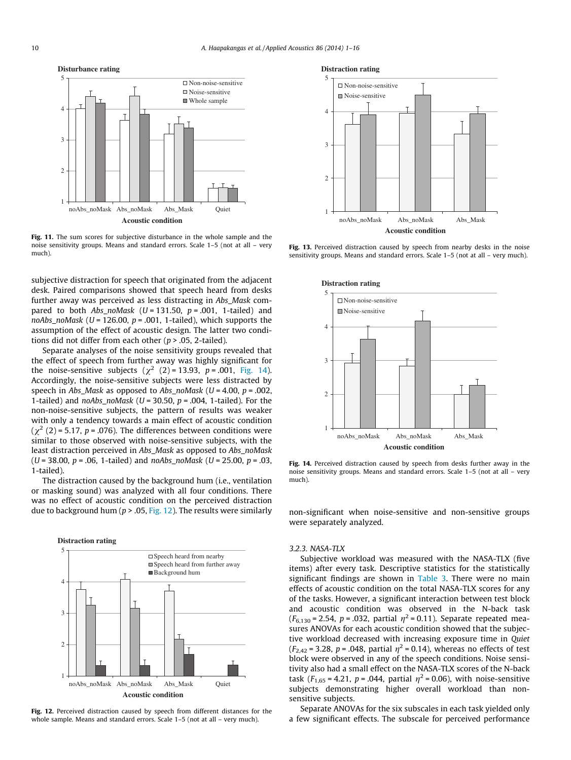<span id="page-9-0"></span>

Fig. 11. The sum scores for subjective disturbance in the whole sample and the noise sensitivity groups. Means and standard errors. Scale 1–5 (not at all – very much).

subjective distraction for speech that originated from the adjacent desk. Paired comparisons showed that speech heard from desks further away was perceived as less distracting in Abs\_Mask compared to both Abs\_noMask ( $U = 131.50$ ,  $p = .001$ , 1-tailed) and noAbs\_noMask ( $U = 126.00$ ,  $p = .001$ , 1-tailed), which supports the assumption of the effect of acoustic design. The latter two conditions did not differ from each other ( $p > .05$ , 2-tailed).

Separate analyses of the noise sensitivity groups revealed that the effect of speech from further away was highly significant for the noise-sensitive subjects ( $\chi^2$  (2) = 13.93, p = .001, Fig. 14). Accordingly, the noise-sensitive subjects were less distracted by speech in Abs Mask as opposed to Abs noMask (U = 4.00, p = .002, 1-tailed) and noAbs noMask (U = 30.50, p = .004, 1-tailed). For the non-noise-sensitive subjects, the pattern of results was weaker with only a tendency towards a main effect of acoustic condition ( $\gamma^2$  (2) = 5.17, p = .076). The differences between conditions were similar to those observed with noise-sensitive subjects, with the least distraction perceived in Abs\_Mask as opposed to Abs\_noMask  $(U = 38.00, p = .06, 1$ -tailed) and noAbs\_noMask  $(U = 25.00, p = .03,$ 1-tailed).

The distraction caused by the background hum (i.e., ventilation or masking sound) was analyzed with all four conditions. There was no effect of acoustic condition on the perceived distraction due to background hum ( $p > .05$ , Fig. 12). The results were similarly non-significant when noise-sensitive and non-sensitive groups



Fig. 12. Perceived distraction caused by speech from different distances for the whole sample. Means and standard errors. Scale 1-5 (not at all - very much).





Fig. 13. Perceived distraction caused by speech from nearby desks in the noise sensitivity groups. Means and standard errors. Scale 1–5 (not at all – very much).



Fig. 14. Perceived distraction caused by speech from desks further away in the noise sensitivity groups. Means and standard errors. Scale 1–5 (not at all – very much).

were separately analyzed.

# 3.2.3. NASA-TLX

Subjective workload was measured with the NASA-TLX (five items) after every task. Descriptive statistics for the statistically significant findings are shown in [Table 3](#page-10-0). There were no main effects of acoustic condition on the total NASA-TLX scores for any of the tasks. However, a significant interaction between test block and acoustic condition was observed in the N-back task  $(F_{6,130} = 2.54, p = .032,$  partial  $\eta^2 = 0.11$ ). Separate repeated measures ANOVAs for each acoustic condition showed that the subjective workload decreased with increasing exposure time in Quiet  $(F_{2,42} = 3.28, p = .048,$  partial  $\eta^2 = 0.14$ ), whereas no effects of test block were observed in any of the speech conditions. Noise sensitivity also had a small effect on the NASA-TLX scores of the N-back task ( $F_{1,65}$  = 4.21,  $p$  = .044, partial  $\eta^2$  = 0.06), with noise-sensitive subjects demonstrating higher overall workload than nonsensitive subjects.

Separate ANOVAs for the six subscales in each task yielded only a few significant effects. The subscale for perceived performance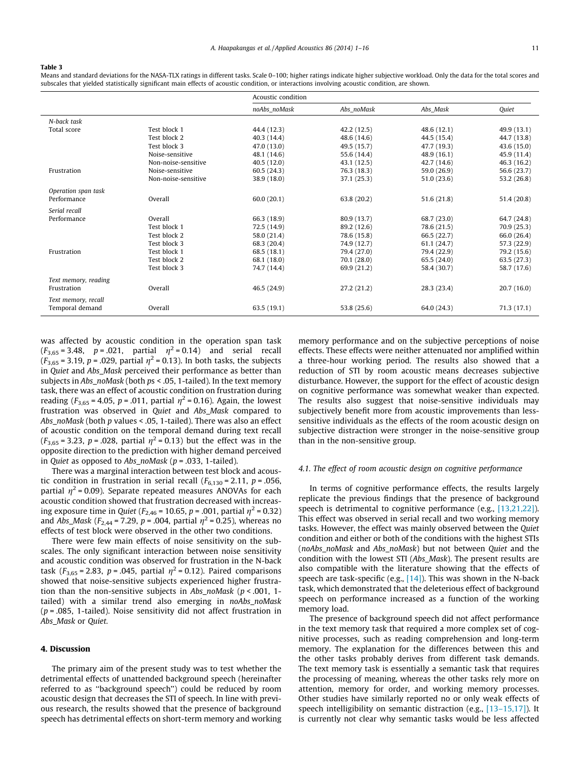#### <span id="page-10-0"></span>Table 3

Means and standard deviations for the NASA-TLX ratings in different tasks. Scale 0–100; higher ratings indicate higher subjective workload. Only the data for the total scores and subscales that yielded statistically significant main effects of acoustic condition, or interactions involving acoustic condition, are shown.

|                      |                     | Acoustic condition |             |             |              |
|----------------------|---------------------|--------------------|-------------|-------------|--------------|
|                      |                     | noAbs_noMask       | Abs_noMask  | Abs_Mask    | <b>Quiet</b> |
| N-back task          |                     |                    |             |             |              |
| Total score          | Test block 1        | 44.4 (12.3)        | 42.2(12.5)  | 48.6 (12.1) | 49.9 (13.1)  |
|                      | Test block 2        | 40.3(14.4)         | 48.6 (14.6) | 44.5 (15.4) | 44.7 (13.8)  |
|                      | Test block 3        | 47.0 (13.0)        | 49.5 (15.7) | 47.7 (19.3) | 43.6(15.0)   |
|                      | Noise-sensitive     | 48.1 (14.6)        | 55.6 (14.4) | 48.9 (16.1) | 45.9 (11.4)  |
|                      | Non-noise-sensitive | 40.5(12.0)         | 43.1 (12.5) | 42.7(14.6)  | 46.3(16.2)   |
| Frustration          | Noise-sensitive     | 60.5(24.3)         | 76.3 (18.3) | 59.0 (26.9) | 56.6 (23.7)  |
|                      | Non-noise-sensitive | 38.9 (18.0)        | 37.1 (25.3) | 51.0 (23.6) | 53.2 (26.8)  |
| Operation span task  |                     |                    |             |             |              |
| Performance          | Overall             | 60.0(20.1)         | 63.8 (20.2) | 51.6(21.8)  | 51.4 (20.8)  |
| Serial recall        |                     |                    |             |             |              |
| Performance          | Overall             | 66.3 (18.9)        | 80.9 (13.7) | 68.7 (23.0) | 64.7 (24.8)  |
|                      | Test block 1        | 72.5 (14.9)        | 89.2 (12.6) | 78.6 (21.5) | 70.9(25.3)   |
|                      | Test block 2        | 58.0 (21.4)        | 78.6 (15.8) | 66.5 (22.7) | 66.0 (26.4)  |
|                      | Test block 3        | 68.3 (20.4)        | 74.9 (12.7) | 61.1(24.7)  | 57.3 (22.9)  |
| Frustration          | Test block 1        | 68.5 (18.1)        | 79.4 (27.0) | 79.4 (22.9) | 79.2 (15.6)  |
|                      | Test block 2        | 68.1 (18.0)        | 70.1 (28.0) | 65.5 (24.0) | 63.5(27.3)   |
|                      | Test block 3        | 74.7 (14.4)        | 69.9 (21.2) | 58.4 (30.7) | 58.7 (17.6)  |
| Text memory, reading |                     |                    |             |             |              |
| Frustration          | Overall             | 46.5 (24.9)        | 27.2(21.2)  | 28.3 (23.4) | 20.7(16.0)   |
| Text memory, recall  |                     |                    |             |             |              |
| Temporal demand      | Overall             | 63.5 (19.1)        | 53.8 (25.6) | 64.0 (24.3) | 71.3(17.1)   |

was affected by acoustic condition in the operation span task  $(F_{3,65} = 3.48, p = .021,$  partial  $\eta^2 = 0.14$  and serial recall  $(F_{3,65} = 3.19, p = .029,$  partial  $\eta^2 = 0.13$ ). In both tasks, the subjects in Quiet and Abs\_Mask perceived their performance as better than subjects in Abs\_noMask (both ps < .05, 1-tailed). In the text memory task, there was an effect of acoustic condition on frustration during reading ( $F_{3,65}$  = 4.05, p = .011, partial  $\eta^2$  = 0.16). Again, the lowest frustration was observed in Quiet and Abs\_Mask compared to Abs\_noMask (both p values < .05, 1-tailed). There was also an effect of acoustic condition on the temporal demand during text recall  $(F_{3,65} = 3.23, p = .028,$  partial  $\eta^2 = 0.13$ ) but the effect was in the opposite direction to the prediction with higher demand perceived in Quiet as opposed to Abs noMask ( $p = .033$ , 1-tailed).

There was a marginal interaction between test block and acoustic condition in frustration in serial recall  $(F_{6,130} = 2.11, p = .056,$ partial  $\eta^2$  = 0.09). Separate repeated measures ANOVAs for each acoustic condition showed that frustration decreased with increasing exposure time in *Quiet* ( $F_{2,46}$  = 10.65, *p* = .001, partial  $\eta^2$  = 0.32) and Abs\_Mask ( $F_{2,44}$  = 7.29, p = .004, partial  $\eta^2$  = 0.25), whereas no effects of test block were observed in the other two conditions.

There were few main effects of noise sensitivity on the subscales. The only significant interaction between noise sensitivity and acoustic condition was observed for frustration in the N-back task ( $F_{3,65}$  = 2.83,  $p$  = .045, partial  $\eta^2$  = 0.12). Paired comparisons showed that noise-sensitive subjects experienced higher frustration than the non-sensitive subjects in  $Abs\_noMask$  ( $p < .001, 1$ tailed) with a similar trend also emerging in noAbs\_noMask  $(p = .085, 1$ -tailed). Noise sensitivity did not affect frustration in Abs\_Mask or Quiet.

# 4. Discussion

The primary aim of the present study was to test whether the detrimental effects of unattended background speech (hereinafter referred to as ''background speech'') could be reduced by room acoustic design that decreases the STI of speech. In line with previous research, the results showed that the presence of background speech has detrimental effects on short-term memory and working memory performance and on the subjective perceptions of noise effects. These effects were neither attenuated nor amplified within a three-hour working period. The results also showed that a reduction of STI by room acoustic means decreases subjective disturbance. However, the support for the effect of acoustic design on cognitive performance was somewhat weaker than expected. The results also suggest that noise-sensitive individuals may subjectively benefit more from acoustic improvements than lesssensitive individuals as the effects of the room acoustic design on subjective distraction were stronger in the noise-sensitive group than in the non-sensitive group.

# 4.1. The effect of room acoustic design on cognitive performance

In terms of cognitive performance effects, the results largely replicate the previous findings that the presence of background speech is detrimental to cognitive performance (e.g., [\[13,21,22\]\)](#page-14-0). This effect was observed in serial recall and two working memory tasks. However, the effect was mainly observed between the Quiet condition and either or both of the conditions with the highest STIs (noAbs\_noMask and Abs\_noMask) but not between Quiet and the condition with the lowest STI (Abs\_Mask). The present results are also compatible with the literature showing that the effects of speech are task-specific (e.g.,  $[14]$ ). This was shown in the N-back task, which demonstrated that the deleterious effect of background speech on performance increased as a function of the working memory load.

The presence of background speech did not affect performance in the text memory task that required a more complex set of cognitive processes, such as reading comprehension and long-term memory. The explanation for the differences between this and the other tasks probably derives from different task demands. The text memory task is essentially a semantic task that requires the processing of meaning, whereas the other tasks rely more on attention, memory for order, and working memory processes. Other studies have similarly reported no or only weak effects of speech intelligibility on semantic distraction (e.g., [\[13–15,17\]\)](#page-14-0). It is currently not clear why semantic tasks would be less affected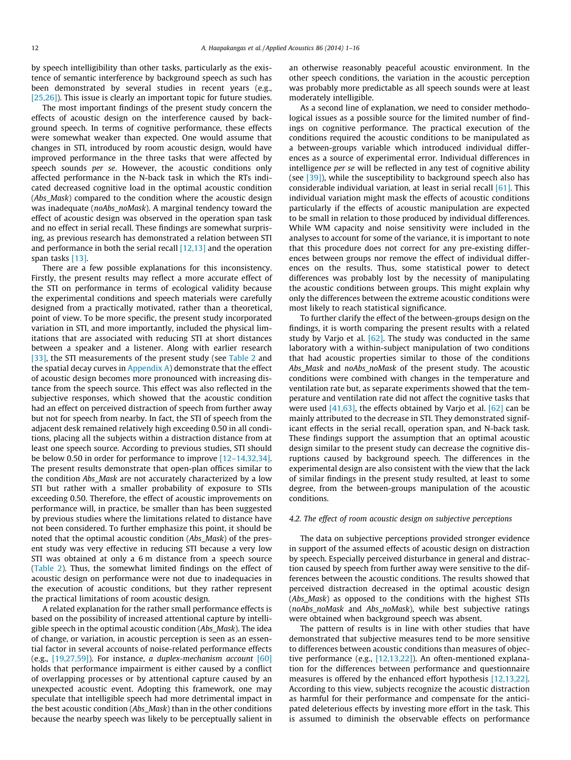by speech intelligibility than other tasks, particularly as the existence of semantic interference by background speech as such has been demonstrated by several studies in recent years (e.g., [\[25,26\]\)](#page-14-0). This issue is clearly an important topic for future studies.

The most important findings of the present study concern the effects of acoustic design on the interference caused by background speech. In terms of cognitive performance, these effects were somewhat weaker than expected. One would assume that changes in STI, introduced by room acoustic design, would have improved performance in the three tasks that were affected by speech sounds per se. However, the acoustic conditions only affected performance in the N-back task in which the RTs indicated decreased cognitive load in the optimal acoustic condition (Abs\_Mask) compared to the condition where the acoustic design was inadequate (noAbs\_noMask). A marginal tendency toward the effect of acoustic design was observed in the operation span task and no effect in serial recall. These findings are somewhat surprising, as previous research has demonstrated a relation between STI and performance in both the serial recall [\[12,13\]](#page-14-0) and the operation span tasks [\[13\]](#page-14-0).

There are a few possible explanations for this inconsistency. Firstly, the present results may reflect a more accurate effect of the STI on performance in terms of ecological validity because the experimental conditions and speech materials were carefully designed from a practically motivated, rather than a theoretical, point of view. To be more specific, the present study incorporated variation in STI, and more importantly, included the physical limitations that are associated with reducing STI at short distances between a speaker and a listener. Along with earlier research [\[33\]](#page-14-0), the STI measurements of the present study (see [Table 2](#page-5-0) and the spatial decay curves in [Appendix A\)](#page-13-0) demonstrate that the effect of acoustic design becomes more pronounced with increasing distance from the speech source. This effect was also reflected in the subjective responses, which showed that the acoustic condition had an effect on perceived distraction of speech from further away but not for speech from nearby. In fact, the STI of speech from the adjacent desk remained relatively high exceeding 0.50 in all conditions, placing all the subjects within a distraction distance from at least one speech source. According to previous studies, STI should be below 0.50 in order for performance to improve [\[12–14,32,34\].](#page-14-0) The present results demonstrate that open-plan offices similar to the condition Abs\_Mask are not accurately characterized by a low STI but rather with a smaller probability of exposure to STIs exceeding 0.50. Therefore, the effect of acoustic improvements on performance will, in practice, be smaller than has been suggested by previous studies where the limitations related to distance have not been considered. To further emphasize this point, it should be noted that the optimal acoustic condition (Abs\_Mask) of the present study was very effective in reducing STI because a very low STI was obtained at only a 6 m distance from a speech source ([Table 2\)](#page-5-0). Thus, the somewhat limited findings on the effect of acoustic design on performance were not due to inadequacies in the execution of acoustic conditions, but they rather represent the practical limitations of room acoustic design.

A related explanation for the rather small performance effects is based on the possibility of increased attentional capture by intelligible speech in the optimal acoustic condition (Abs\_Mask). The idea of change, or variation, in acoustic perception is seen as an essential factor in several accounts of noise-related performance effects (e.g.,  $[19,27,59]$ ). For instance, a duplex-mechanism account  $[60]$ holds that performance impairment is either caused by a conflict of overlapping processes or by attentional capture caused by an unexpected acoustic event. Adopting this framework, one may speculate that intelligible speech had more detrimental impact in the best acoustic condition (Abs\_Mask) than in the other conditions because the nearby speech was likely to be perceptually salient in an otherwise reasonably peaceful acoustic environment. In the other speech conditions, the variation in the acoustic perception was probably more predictable as all speech sounds were at least moderately intelligible.

As a second line of explanation, we need to consider methodological issues as a possible source for the limited number of findings on cognitive performance. The practical execution of the conditions required the acoustic conditions to be manipulated as a between-groups variable which introduced individual differences as a source of experimental error. Individual differences in intelligence per se will be reflected in any test of cognitive ability (see  $[39]$ ), while the susceptibility to background speech also has considerable individual variation, at least in serial recall [\[61\].](#page-15-0) This individual variation might mask the effects of acoustic conditions particularly if the effects of acoustic manipulation are expected to be small in relation to those produced by individual differences. While WM capacity and noise sensitivity were included in the analyses to account for some of the variance, it is important to note that this procedure does not correct for any pre-existing differences between groups nor remove the effect of individual differences on the results. Thus, some statistical power to detect differences was probably lost by the necessity of manipulating the acoustic conditions between groups. This might explain why only the differences between the extreme acoustic conditions were most likely to reach statistical significance.

To further clarify the effect of the between-groups design on the findings, it is worth comparing the present results with a related study by Varjo et al.  $[62]$ . The study was conducted in the same laboratory with a within-subject manipulation of two conditions that had acoustic properties similar to those of the conditions Abs\_Mask and noAbs\_noMask of the present study. The acoustic conditions were combined with changes in the temperature and ventilation rate but, as separate experiments showed that the temperature and ventilation rate did not affect the cognitive tasks that were used  $[41,63]$ , the effects obtained by Varjo et al.  $[62]$  can be mainly attributed to the decrease in STI. They demonstrated significant effects in the serial recall, operation span, and N-back task. These findings support the assumption that an optimal acoustic design similar to the present study can decrease the cognitive disruptions caused by background speech. The differences in the experimental design are also consistent with the view that the lack of similar findings in the present study resulted, at least to some degree, from the between-groups manipulation of the acoustic conditions.

## 4.2. The effect of room acoustic design on subjective perceptions

The data on subjective perceptions provided stronger evidence in support of the assumed effects of acoustic design on distraction by speech. Especially perceived disturbance in general and distraction caused by speech from further away were sensitive to the differences between the acoustic conditions. The results showed that perceived distraction decreased in the optimal acoustic design (Abs\_Mask) as opposed to the conditions with the highest STIs (noAbs\_noMask and Abs\_noMask), while best subjective ratings were obtained when background speech was absent.

The pattern of results is in line with other studies that have demonstrated that subjective measures tend to be more sensitive to differences between acoustic conditions than measures of objective performance (e.g., [\[12,13,22\]](#page-14-0)). An often-mentioned explanation for the differences between performance and questionnaire measures is offered by the enhanced effort hypothesis [\[12,13,22\].](#page-14-0) According to this view, subjects recognize the acoustic distraction as harmful for their performance and compensate for the anticipated deleterious effects by investing more effort in the task. This is assumed to diminish the observable effects on performance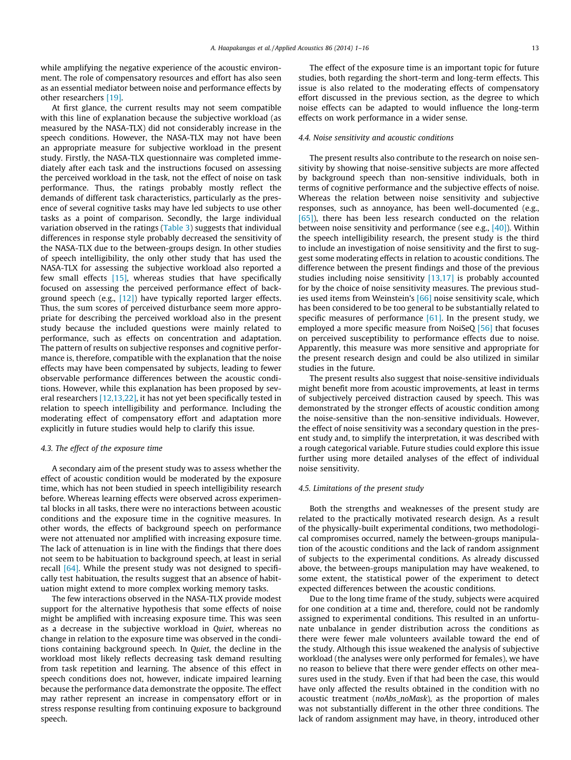while amplifying the negative experience of the acoustic environment. The role of compensatory resources and effort has also seen as an essential mediator between noise and performance effects by other researchers [\[19\].](#page-14-0)

At first glance, the current results may not seem compatible with this line of explanation because the subjective workload (as measured by the NASA-TLX) did not considerably increase in the speech conditions. However, the NASA-TLX may not have been an appropriate measure for subjective workload in the present study. Firstly, the NASA-TLX questionnaire was completed immediately after each task and the instructions focused on assessing the perceived workload in the task, not the effect of noise on task performance. Thus, the ratings probably mostly reflect the demands of different task characteristics, particularly as the presence of several cognitive tasks may have led subjects to use other tasks as a point of comparison. Secondly, the large individual variation observed in the ratings ([Table 3](#page-10-0)) suggests that individual differences in response style probably decreased the sensitivity of the NASA-TLX due to the between-groups design. In other studies of speech intelligibility, the only other study that has used the NASA-TLX for assessing the subjective workload also reported a few small effects [\[15\]](#page-14-0), whereas studies that have specifically focused on assessing the perceived performance effect of background speech (e.g.,  $[12]$ ) have typically reported larger effects. Thus, the sum scores of perceived disturbance seem more appropriate for describing the perceived workload also in the present study because the included questions were mainly related to performance, such as effects on concentration and adaptation. The pattern of results on subjective responses and cognitive performance is, therefore, compatible with the explanation that the noise effects may have been compensated by subjects, leading to fewer observable performance differences between the acoustic conditions. However, while this explanation has been proposed by several researchers [\[12,13,22\]](#page-14-0), it has not yet been specifically tested in relation to speech intelligibility and performance. Including the moderating effect of compensatory effort and adaptation more explicitly in future studies would help to clarify this issue.

#### 4.3. The effect of the exposure time

A secondary aim of the present study was to assess whether the effect of acoustic condition would be moderated by the exposure time, which has not been studied in speech intelligibility research before. Whereas learning effects were observed across experimental blocks in all tasks, there were no interactions between acoustic conditions and the exposure time in the cognitive measures. In other words, the effects of background speech on performance were not attenuated nor amplified with increasing exposure time. The lack of attenuation is in line with the findings that there does not seem to be habituation to background speech, at least in serial recall [\[64\].](#page-15-0) While the present study was not designed to specifically test habituation, the results suggest that an absence of habituation might extend to more complex working memory tasks.

The few interactions observed in the NASA-TLX provide modest support for the alternative hypothesis that some effects of noise might be amplified with increasing exposure time. This was seen as a decrease in the subjective workload in Quiet, whereas no change in relation to the exposure time was observed in the conditions containing background speech. In Quiet, the decline in the workload most likely reflects decreasing task demand resulting from task repetition and learning. The absence of this effect in speech conditions does not, however, indicate impaired learning because the performance data demonstrate the opposite. The effect may rather represent an increase in compensatory effort or in stress response resulting from continuing exposure to background speech.

The effect of the exposure time is an important topic for future studies, both regarding the short-term and long-term effects. This issue is also related to the moderating effects of compensatory effort discussed in the previous section, as the degree to which noise effects can be adapted to would influence the long-term effects on work performance in a wider sense.

## 4.4. Noise sensitivity and acoustic conditions

The present results also contribute to the research on noise sensitivity by showing that noise-sensitive subjects are more affected by background speech than non-sensitive individuals, both in terms of cognitive performance and the subjective effects of noise. Whereas the relation between noise sensitivity and subjective responses, such as annoyance, has been well-documented (e.g., [\[65\]](#page-15-0)), there has been less research conducted on the relation between noise sensitivity and performance (see e.g., [\[40\]\)](#page-14-0). Within the speech intelligibility research, the present study is the third to include an investigation of noise sensitivity and the first to suggest some moderating effects in relation to acoustic conditions. The difference between the present findings and those of the previous studies including noise sensitivity  $[13,17]$  is probably accounted for by the choice of noise sensitivity measures. The previous studies used items from Weinstein's [\[66\]](#page-15-0) noise sensitivity scale, which has been considered to be too general to be substantially related to specific measures of performance  $[61]$ . In the present study, we employed a more specific measure from NoiSeQ [\[56\]](#page-14-0) that focuses on perceived susceptibility to performance effects due to noise. Apparently, this measure was more sensitive and appropriate for the present research design and could be also utilized in similar studies in the future.

The present results also suggest that noise-sensitive individuals might benefit more from acoustic improvements, at least in terms of subjectively perceived distraction caused by speech. This was demonstrated by the stronger effects of acoustic condition among the noise-sensitive than the non-sensitive individuals. However, the effect of noise sensitivity was a secondary question in the present study and, to simplify the interpretation, it was described with a rough categorical variable. Future studies could explore this issue further using more detailed analyses of the effect of individual noise sensitivity.

# 4.5. Limitations of the present study

Both the strengths and weaknesses of the present study are related to the practically motivated research design. As a result of the physically-built experimental conditions, two methodological compromises occurred, namely the between-groups manipulation of the acoustic conditions and the lack of random assignment of subjects to the experimental conditions. As already discussed above, the between-groups manipulation may have weakened, to some extent, the statistical power of the experiment to detect expected differences between the acoustic conditions.

Due to the long time frame of the study, subjects were acquired for one condition at a time and, therefore, could not be randomly assigned to experimental conditions. This resulted in an unfortunate unbalance in gender distribution across the conditions as there were fewer male volunteers available toward the end of the study. Although this issue weakened the analysis of subjective workload (the analyses were only performed for females), we have no reason to believe that there were gender effects on other measures used in the study. Even if that had been the case, this would have only affected the results obtained in the condition with no acoustic treatment (noAbs\_noMask), as the proportion of males was not substantially different in the other three conditions. The lack of random assignment may have, in theory, introduced other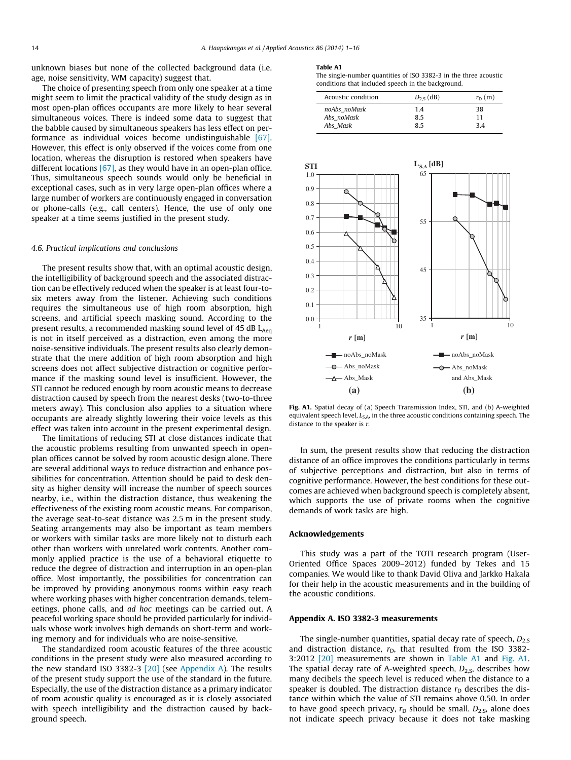<span id="page-13-0"></span>unknown biases but none of the collected background data (i.e. age, noise sensitivity, WM capacity) suggest that.

The choice of presenting speech from only one speaker at a time might seem to limit the practical validity of the study design as in most open-plan offices occupants are more likely to hear several simultaneous voices. There is indeed some data to suggest that the babble caused by simultaneous speakers has less effect on performance as individual voices become undistinguishable [\[67\].](#page-15-0) However, this effect is only observed if the voices come from one location, whereas the disruption is restored when speakers have different locations  $[67]$ , as they would have in an open-plan office. Thus, simultaneous speech sounds would only be beneficial in exceptional cases, such as in very large open-plan offices where a large number of workers are continuously engaged in conversation or phone-calls (e.g., call centers). Hence, the use of only one speaker at a time seems justified in the present study.

#### 4.6. Practical implications and conclusions

The present results show that, with an optimal acoustic design, the intelligibility of background speech and the associated distraction can be effectively reduced when the speaker is at least four-tosix meters away from the listener. Achieving such conditions requires the simultaneous use of high room absorption, high screens, and artificial speech masking sound. According to the present results, a recommended masking sound level of 45 dB  $L_{Aeq}$ is not in itself perceived as a distraction, even among the more noise-sensitive individuals. The present results also clearly demonstrate that the mere addition of high room absorption and high screens does not affect subjective distraction or cognitive performance if the masking sound level is insufficient. However, the STI cannot be reduced enough by room acoustic means to decrease distraction caused by speech from the nearest desks (two-to-three meters away). This conclusion also applies to a situation where occupants are already slightly lowering their voice levels as this effect was taken into account in the present experimental design.

The limitations of reducing STI at close distances indicate that the acoustic problems resulting from unwanted speech in openplan offices cannot be solved by room acoustic design alone. There are several additional ways to reduce distraction and enhance possibilities for concentration. Attention should be paid to desk density as higher density will increase the number of speech sources nearby, i.e., within the distraction distance, thus weakening the effectiveness of the existing room acoustic means. For comparison, the average seat-to-seat distance was 2.5 m in the present study. Seating arrangements may also be important as team members or workers with similar tasks are more likely not to disturb each other than workers with unrelated work contents. Another commonly applied practice is the use of a behavioral etiquette to reduce the degree of distraction and interruption in an open-plan office. Most importantly, the possibilities for concentration can be improved by providing anonymous rooms within easy reach where working phases with higher concentration demands, telemeetings, phone calls, and ad hoc meetings can be carried out. A peaceful working space should be provided particularly for individuals whose work involves high demands on short-term and working memory and for individuals who are noise-sensitive.

The standardized room acoustic features of the three acoustic conditions in the present study were also measured according to the new standard ISO 3382-3 [\[20\]](#page-14-0) (see Appendix A). The results of the present study support the use of the standard in the future. Especially, the use of the distraction distance as a primary indicator of room acoustic quality is encouraged as it is closely associated with speech intelligibility and the distraction caused by background speech.

#### Table A1

The single-number quantities of ISO 3382-3 in the three acoustic conditions that included speech in the background.

| Acoustic condition | $D_{2.5}$ (dB) | $r_{\rm D}$ (m) |
|--------------------|----------------|-----------------|
| noAbs noMask       | 1.4            | 38              |
| Abs noMask         | 85             | 11              |
| Abs Mask           | 85             | 34              |



Fig. A1. Spatial decay of (a) Speech Transmission Index, STI, and (b) A-weighted equivalent speech level,  $L_{S,A}$ , in the three acoustic conditions containing speech. The distance to the speaker is r.

In sum, the present results show that reducing the distraction distance of an office improves the conditions particularly in terms of subjective perceptions and distraction, but also in terms of cognitive performance. However, the best conditions for these outcomes are achieved when background speech is completely absent, which supports the use of private rooms when the cognitive demands of work tasks are high.

## Acknowledgements

This study was a part of the TOTI research program (User-Oriented Office Spaces 2009–2012) funded by Tekes and 15 companies. We would like to thank David Oliva and Jarkko Hakala for their help in the acoustic measurements and in the building of the acoustic conditions.

# Appendix A. ISO 3382-3 measurements

The single-number quantities, spatial decay rate of speech,  $D_{2,S}$ and distraction distance,  $r_D$ , that resulted from the ISO 3382-3:2012 [\[20\]](#page-14-0) measurements are shown in Table A1 and Fig. A1. The spatial decay rate of A-weighted speech,  $D_{2,S}$ , describes how many decibels the speech level is reduced when the distance to a speaker is doubled. The distraction distance  $r<sub>D</sub>$  describes the distance within which the value of STI remains above 0.50. In order to have good speech privacy,  $r<sub>D</sub>$  should be small.  $D<sub>2,S</sub>$ , alone does not indicate speech privacy because it does not take masking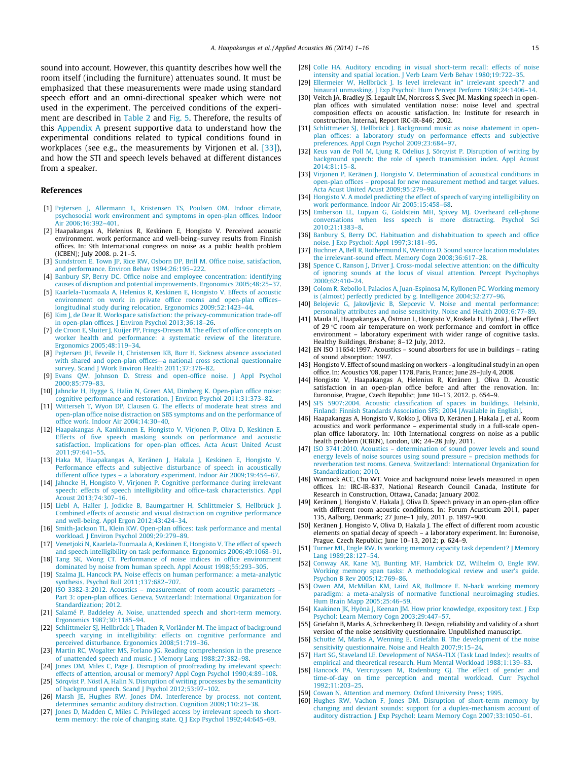<span id="page-14-0"></span>sound into account. However, this quantity describes how well the room itself (including the furniture) attenuates sound. It must be emphasized that these measurements were made using standard speech effort and an omni-directional speaker which were not used in the experiment. The perceived conditions of the experiment are described in [Table 2](#page-5-0) and [Fig. 5](#page-5-0). Therefore, the results of this [Appendix A](#page-13-0) present supportive data to understand how the experimental conditions related to typical conditions found in workplaces (see e.g., the measurements by Virjonen et al. [33]), and how the STI and speech levels behaved at different distances from a speaker.

# References

- [1] [Pejtersen J, Allermann L, Kristensen TS, Poulsen OM. Indoor climate,](http://refhub.elsevier.com/S0003-682X(14)00115-7/h0005) [psychosocial work environment and symptoms in open-plan offices. Indoor](http://refhub.elsevier.com/S0003-682X(14)00115-7/h0005) [Air 2006;16:392–401.](http://refhub.elsevier.com/S0003-682X(14)00115-7/h0005)
- [2] Haapakangas A, Helenius R, Keskinen E, Hongisto V. Perceived acoustic environment, work performance and well-being–survey results from Finnish offices. In: 9th International congress on noise as a public health problem (ICBEN); July 2008. p. 21–5.
- [3] [Sundstrom E, Town JP, Rice RW, Osborn DP, Brill M. Office noise, satisfaction,](http://refhub.elsevier.com/S0003-682X(14)00115-7/h0015) [and performance. Environ Behav 1994;26:195–222](http://refhub.elsevier.com/S0003-682X(14)00115-7/h0015).
- [4] [Banbury SP, Berry DC. Office noise and employee concentration: identifying](http://refhub.elsevier.com/S0003-682X(14)00115-7/h0020) [causes of disruption and potential improvements. Ergonomics 2005;48:25–37](http://refhub.elsevier.com/S0003-682X(14)00115-7/h0020).
- [5] [Kaarlela-Tuomaala A, Helenius R, Keskinen E, Hongisto V. Effects of acoustic](http://refhub.elsevier.com/S0003-682X(14)00115-7/h0025) [environment on work in private office rooms and open-plan offices–](http://refhub.elsevier.com/S0003-682X(14)00115-7/h0025) [longitudinal study during relocation. Ergonomics 2009;52:1423–44.](http://refhub.elsevier.com/S0003-682X(14)00115-7/h0025)
- [6] [Kim J, de Dear R. Workspace satisfaction: the privacy-communication trade-off](http://refhub.elsevier.com/S0003-682X(14)00115-7/h0030) [in open-plan offices. J Environ Psychol 2013;36:18–26](http://refhub.elsevier.com/S0003-682X(14)00115-7/h0030).
- [7] [de Croon E, Sluiter J, Kuijer PP, Frings-Dresen M. The effect of office concepts on](http://refhub.elsevier.com/S0003-682X(14)00115-7/h0035) [worker health and performance: a systematic review of the literature.](http://refhub.elsevier.com/S0003-682X(14)00115-7/h0035) [Ergonomics 2005;48:119–34](http://refhub.elsevier.com/S0003-682X(14)00115-7/h0035).
- [8] [Pejtersen JH, Feveile H, Christensen KB, Burr H. Sickness absence associated](http://refhub.elsevier.com/S0003-682X(14)00115-7/h0040) [with shared and open-plan offices—a national cross sectional questionnaire](http://refhub.elsevier.com/S0003-682X(14)00115-7/h0040) [survey. Scand J Work Environ Health 2011;37:376–82](http://refhub.elsevier.com/S0003-682X(14)00115-7/h0040).
- [9] [Evans QW, Johnson D. Stress and open-office noise. J Appl Psychol](http://refhub.elsevier.com/S0003-682X(14)00115-7/h0045) [2000;85:779–83.](http://refhub.elsevier.com/S0003-682X(14)00115-7/h0045)
- [10] [Jahncke H, Hygge S, Halin N, Green AM, Dimberg K. Open-plan office noise:](http://refhub.elsevier.com/S0003-682X(14)00115-7/h0050) [cognitive performance and restoration. J Environ Psychol 2011;31:373–82.](http://refhub.elsevier.com/S0003-682X(14)00115-7/h0050)
- [11] [Witterseh T, Wyon DP, Clausen G. The effects of moderate heat stress and](http://refhub.elsevier.com/S0003-682X(14)00115-7/h0055) [open-plan office noise distraction on SBS symptoms and on the performance of](http://refhub.elsevier.com/S0003-682X(14)00115-7/h0055) [office work. Indoor Air 2004;14:30–40](http://refhub.elsevier.com/S0003-682X(14)00115-7/h0055).
- [12] [Haapakangas A, Kankkunen E, Hongisto V, Virjonen P, Oliva D, Keskinen E.](http://refhub.elsevier.com/S0003-682X(14)00115-7/h0060) [Effects of five speech masking sounds on performance and acoustic](http://refhub.elsevier.com/S0003-682X(14)00115-7/h0060) [satisfaction. Implications for open-plan offices. Acta Acust United Acust](http://refhub.elsevier.com/S0003-682X(14)00115-7/h0060) [2011;97:641–55.](http://refhub.elsevier.com/S0003-682X(14)00115-7/h0060)
- [13] [Haka M, Haapakangas A, Keränen J, Hakala J, Keskinen E, Hongisto V.](http://refhub.elsevier.com/S0003-682X(14)00115-7/h0065) [Performance effects and subjective disturbance of speech in acoustically](http://refhub.elsevier.com/S0003-682X(14)00115-7/h0065) [different office types – a laboratory experiment. Indoor Air 2009;19:454–67](http://refhub.elsevier.com/S0003-682X(14)00115-7/h0065).
- [14] [Jahncke H, Hongisto V, Virjonen P. Cognitive performance during irrelevant](http://refhub.elsevier.com/S0003-682X(14)00115-7/h0070) [speech: effects of speech intelligibility and office-task characteristics. Appl](http://refhub.elsevier.com/S0003-682X(14)00115-7/h0070) [Acoust 2013;74:307–16](http://refhub.elsevier.com/S0003-682X(14)00115-7/h0070).
- [15] [Liebl A, Haller J, Jodicke B, Baumgartner H, Schlittmeier S, Hellbrück J.](http://refhub.elsevier.com/S0003-682X(14)00115-7/h0075) [Combined effects of acoustic and visual distraction on cognitive performance](http://refhub.elsevier.com/S0003-682X(14)00115-7/h0075) [and well-being. Appl Ergon 2012;43:424–34.](http://refhub.elsevier.com/S0003-682X(14)00115-7/h0075)
- [16] [Smith-Jackson TL, Klein KW. Open-plan offices: task performance and mental](http://refhub.elsevier.com/S0003-682X(14)00115-7/h0080) [workload. J Environ Psychol 2009;29:279–89](http://refhub.elsevier.com/S0003-682X(14)00115-7/h0080).
- [17] [Venetjoki N, Kaarlela-Tuomaala A, Keskinen E, Hongisto V. The effect of speech](http://refhub.elsevier.com/S0003-682X(14)00115-7/h0085) [and speech intelligibility on task performance. Ergonomics 2006;49:1068–91](http://refhub.elsevier.com/S0003-682X(14)00115-7/h0085).
- [18] [Tang SK, Wong CT. Performance of noise indices in office environment](http://refhub.elsevier.com/S0003-682X(14)00115-7/h0090) [dominated by noise from human speech. Appl Acoust 1998;55:293–305](http://refhub.elsevier.com/S0003-682X(14)00115-7/h0090).
- [19] [Szalma JL, Hancock PA. Noise effects on human performance: a meta-analytic](http://refhub.elsevier.com/S0003-682X(14)00115-7/h0095) [synthesis. Psychol Bull 2011;137:682–707.](http://refhub.elsevier.com/S0003-682X(14)00115-7/h0095)
- [20] [ISO 3382-3:2012. Acoustics measurement of room acoustic parameters –](http://refhub.elsevier.com/S0003-682X(14)00115-7/h0335) [Part 3: open-plan offices. Geneva, Switzerland: International Organization for](http://refhub.elsevier.com/S0003-682X(14)00115-7/h0335) [Standardization; 2012](http://refhub.elsevier.com/S0003-682X(14)00115-7/h0335).
- [21] [Salamé P, Baddeley A. Noise, unattended speech and short-term memory.](http://refhub.elsevier.com/S0003-682X(14)00115-7/h0105) [Ergonomics 1987;30:1185–94.](http://refhub.elsevier.com/S0003-682X(14)00115-7/h0105)
- [22] [Schlittmeier SJ, Hellbrück J, Thaden R, Vorländer M. The impact of background](http://refhub.elsevier.com/S0003-682X(14)00115-7/h0110) [speech varying in intelligibility: effects on cognitive performance and](http://refhub.elsevier.com/S0003-682X(14)00115-7/h0110) [perceived disturbance. Ergonomics 2008;51:719–36.](http://refhub.elsevier.com/S0003-682X(14)00115-7/h0110)
- [23] [Martin RC, Wogalter MS, Forlano JG. Reading comprehension in the presence](http://refhub.elsevier.com/S0003-682X(14)00115-7/h0115) [of unattended speech and music. J Memory Lang 1988;27:382–98.](http://refhub.elsevier.com/S0003-682X(14)00115-7/h0115)
- [24] [Jones DM, Miles C, Page J. Disruption of proofreading by irrelevant speech:](http://refhub.elsevier.com/S0003-682X(14)00115-7/h0120) [effects of attention, arousal or memory? Appl Cogn Psychol 1990;4:89–108](http://refhub.elsevier.com/S0003-682X(14)00115-7/h0120).
- [25] Sörqvist P, Nöstl A, Halin N, Disruption of writing processes by the semanticity [of background speech. Scand J Psychol 2012;53:97–102.](http://refhub.elsevier.com/S0003-682X(14)00115-7/h0125)
- [26] [Marsh JE, Hughes RW, Jones DM. Interference by process, not content,](http://refhub.elsevier.com/S0003-682X(14)00115-7/h0130) [determines semantic auditory distraction. Cognition 2009;110:23–38](http://refhub.elsevier.com/S0003-682X(14)00115-7/h0130).
- [27] [Jones D, Madden C, Miles C. Privileged access by irrelevant speech to short](http://refhub.elsevier.com/S0003-682X(14)00115-7/h0135)[term memory: the role of changing state. Q J Exp Psychol 1992;44:645–69](http://refhub.elsevier.com/S0003-682X(14)00115-7/h0135).
- [28] [Colle HA. Auditory encoding in visual short-term recall: effects of noise](http://refhub.elsevier.com/S0003-682X(14)00115-7/h0140) [intensity and spatial location. J Verb Learn Verb Behav 1980;19:722–35.](http://refhub.elsevier.com/S0003-682X(14)00115-7/h0140)
- [29] [Ellermeier W, Hellbrück J. Is level irrelevant in'' irrelevant speech''? and](http://refhub.elsevier.com/S0003-682X(14)00115-7/h0145) [binaural unmasking. J Exp Psychol: Hum Percept Perform 1998;24:1406–14.](http://refhub.elsevier.com/S0003-682X(14)00115-7/h0145)
- [30] Veitch JA, Bradley JS, Legault LM, Norcross S, Svec JM. Masking speech in openplan offices with simulated ventilation noise: noise level and spectral composition effects on acoustic satisfaction. In: Institute for research in construction, Internal, Report IRC-IR-846; 2002.
- [31] [Schlittmeier SJ, Hellbrück J. Background music as noise abatement in open](http://refhub.elsevier.com/S0003-682X(14)00115-7/h0155)[plan offices: a laboratory study on performance effects and subjective](http://refhub.elsevier.com/S0003-682X(14)00115-7/h0155) [preferences. Appl Cogn Psychol 2009;23:684–97.](http://refhub.elsevier.com/S0003-682X(14)00115-7/h0155)
- [32] [Keus van de Poll M, Ljung R, Odelius J, Sörqvist P. Disruption of writing by](http://refhub.elsevier.com/S0003-682X(14)00115-7/h0160) [background speech: the role of speech transmission index. Appl Acoust](http://refhub.elsevier.com/S0003-682X(14)00115-7/h0160) [2014;81:15–8.](http://refhub.elsevier.com/S0003-682X(14)00115-7/h0160)
- [33] [Virjonen P, Keränen J, Hongisto V. Determination of acoustical conditions in](http://refhub.elsevier.com/S0003-682X(14)00115-7/h0165) [open-plan offices – proposal for new measurement method and target values.](http://refhub.elsevier.com/S0003-682X(14)00115-7/h0165) [Acta Acust United Acust 2009;95:279–90](http://refhub.elsevier.com/S0003-682X(14)00115-7/h0165).
- [34] [Hongisto V. A model predicting the effect of speech of varying intelligibility on](http://refhub.elsevier.com/S0003-682X(14)00115-7/h0170) [work performance. Indoor Air 2005;15:458–68](http://refhub.elsevier.com/S0003-682X(14)00115-7/h0170).
- [35] [Emberson LL, Lupyan G, Goldstein MH, Spivey MJ. Overheard cell-phone](http://refhub.elsevier.com/S0003-682X(14)00115-7/h0175) [conversations when less speech is more distracting. Psychol Sci](http://refhub.elsevier.com/S0003-682X(14)00115-7/h0175) [2010;21:1383–8](http://refhub.elsevier.com/S0003-682X(14)00115-7/h0175).
- [36] [Banbury S, Berry DC. Habituation and dishabituation to speech and office](http://refhub.elsevier.com/S0003-682X(14)00115-7/h0180) [noise. J Exp Psychol: Appl 1997;3:181–95](http://refhub.elsevier.com/S0003-682X(14)00115-7/h0180).
- [37] [Buchner A, Bell R, Rothermund K, Wentura D. Sound source location modulates](http://refhub.elsevier.com/S0003-682X(14)00115-7/h0185) [the irrelevant-sound effect. Memory Cogn 2008;36:617–28](http://refhub.elsevier.com/S0003-682X(14)00115-7/h0185).
- [38] [Spence C, Ranson J, Driver J. Cross-modal selective attention: on the difficulty](http://refhub.elsevier.com/S0003-682X(14)00115-7/h0190) [of ignoring sounds at the locus of visual attention. Percept Psychophys](http://refhub.elsevier.com/S0003-682X(14)00115-7/h0190) [2000;62:410–24](http://refhub.elsevier.com/S0003-682X(14)00115-7/h0190).
- [39] [Colom R, Rebollo I, Palacios A, Juan-Espinosa M, Kyllonen PC. Working memory](http://refhub.elsevier.com/S0003-682X(14)00115-7/h0195) [is \(almost\) perfectly predicted by g. Intelligence 2004;32:277–96.](http://refhub.elsevier.com/S0003-682X(14)00115-7/h0195)
- [40] [Belojevic G, Jakovljevic B, Slepcevic V. Noise and mental performance:](http://refhub.elsevier.com/S0003-682X(14)00115-7/h0200) [personality attributes and noise sensitivity. Noise and Health 2003;6:77–89](http://refhub.elsevier.com/S0003-682X(14)00115-7/h0200).
- [41] Maula H, Haapakangas A, Östman L, Hongisto V, Koskela H, Hyönä J. The effect of 29 °C room air temperature on work performance and comfort in office environment – laboratory experiment with wider range of cognitive tasks. Healthy Buildings, Brisbane; 8–12 July, 2012.
- [42] EN ISO 11654:1997. Acoustics sound absorbers for use in buildings rating of sound absorption; 1997.
- [43] Hongisto V. Effect of sound masking on workers a longitudinal study in an open office. In: Acoustics '08, paper 1178, Paris, France; June 29–July 4, 2008.
- [44] Hongisto V, Haapakangas A, Helenius R, Keränen J, Oliva D. Acoustic satisfaction in an open-plan office before and after the renovation. In: Euronoise, Prague, Czech Republic; June 10–13, 2012. p. 654–9.
- [45] [SFS 5907:2004. Acoustic classification of spaces in buildings. Helsinki,](http://refhub.elsevier.com/S0003-682X(14)00115-7/h0340) [Finland: Finnish Standards Association SFS; 2004 \[Available in English\].](http://refhub.elsevier.com/S0003-682X(14)00115-7/h0340)
- [46] Haapakangas A, Hongisto V, Kokko J, Oliva D, Keränen J, Hakala J, et al. Room acoustics and work performance – experimental study in a full-scale openplan office laboratory. In: 10th International congress on noise as a public health problem (ICBEN), London, UK; 24–28 July, 2011.
- [47] [ISO 3741:2010. Acoustics determination of sound power levels and sound](http://refhub.elsevier.com/S0003-682X(14)00115-7/h0345) [energy levels of noise sources using sound pressure – precision methods for](http://refhub.elsevier.com/S0003-682X(14)00115-7/h0345) [reverberation test rooms. Geneva, Switzerland: International Organization for](http://refhub.elsevier.com/S0003-682X(14)00115-7/h0345) [Standardization; 2010](http://refhub.elsevier.com/S0003-682X(14)00115-7/h0345).
- [48] Warnock ACC, Chu WT. Voice and background noise levels measured in open offices. In: IRC-IR-837, National Research Council Canada, Institute for Research in Construction, Ottawa, Canada; January 2002.
- [49] Keränen J, Hongisto V, Hakala J, Oliva D. Speech privacy in an open-plan office with different room acoustic conditions. In: Forum Acusticum 2011, paper 135, Aalborg, Denmark; 27 June–1 July, 2011. p. 1897–900.
- [50] Keränen J, Hongisto V, Oliva D, Hakala J. The effect of different room acoustic elements on spatial decay of speech – a laboratory experiment. In: Euronoise, Prague, Czech Republic; June 10–13, 2012; p. 624–9.
- [51] [Turner ML, Engle RW. Is working memory capacity task dependent? J Memory](http://refhub.elsevier.com/S0003-682X(14)00115-7/h0255) [Lang 1989;28:127–54.](http://refhub.elsevier.com/S0003-682X(14)00115-7/h0255)
- [52] [Conway AR, Kane MJ, Bunting MF, Hambrick DZ, Wilhelm O, Engle RW.](http://refhub.elsevier.com/S0003-682X(14)00115-7/h0350) [Working memory span tasks: A methodological review and user's guide.](http://refhub.elsevier.com/S0003-682X(14)00115-7/h0350) [Psychon B Rev 2005;12:769–86.](http://refhub.elsevier.com/S0003-682X(14)00115-7/h0350)
- [53] [Owen AM, McMillan KM, Laird AR, Bullmore E. N-back working memory](http://refhub.elsevier.com/S0003-682X(14)00115-7/h0260) [paradigm: a meta-analysis of normative functional neuroimaging studies.](http://refhub.elsevier.com/S0003-682X(14)00115-7/h0260) [Hum Brain Mapp 2005;25:46–59](http://refhub.elsevier.com/S0003-682X(14)00115-7/h0260).
- [54] [Kaakinen JK, Hyönä J, Keenan JM. How prior knowledge, expository text. J Exp](http://refhub.elsevier.com/S0003-682X(14)00115-7/h0265) [Psychol: Learn Memory Cogn 2003;29:447–57.](http://refhub.elsevier.com/S0003-682X(14)00115-7/h0265)
- [55] Griefahn B, Marks A, Schreckenberg D. Design, reliability and validity of a short version of the noise sensitivity questionnaire. Unpublished manuscript.
- [56] [Schutte M, Marks A, Wenning E, Griefahn B. The development of the noise](http://refhub.elsevier.com/S0003-682X(14)00115-7/h0275) [sensitivity questionnaire. Noise and Health 2007;9:15–24.](http://refhub.elsevier.com/S0003-682X(14)00115-7/h0275)
- [57] [Hart SG, Staveland LE. Development of NASA-TLX \(Task Load Index\): results of](http://refhub.elsevier.com/S0003-682X(14)00115-7/h0280) [empirical and theoretical research. Hum Mental Workload 1988;1:139–83](http://refhub.elsevier.com/S0003-682X(14)00115-7/h0280).
- [58] [Hancock PA, Vercruyssen M, Rodenburg GJ. The effect of gender and](http://refhub.elsevier.com/S0003-682X(14)00115-7/h0285) [time-of-day on time perception and mental workload. Curr Psychol](http://refhub.elsevier.com/S0003-682X(14)00115-7/h0285) [1992;11:203–25](http://refhub.elsevier.com/S0003-682X(14)00115-7/h0285).
- [59] [Cowan N. Attention and memory. Oxford University Press; 1995](http://refhub.elsevier.com/S0003-682X(14)00115-7/h0290).
- [60] [Hughes RW, Vachon F, Jones DM. Disruption of short-term memory by](http://refhub.elsevier.com/S0003-682X(14)00115-7/h0295) [changing and deviant sounds: support for a duplex-mechanism account of](http://refhub.elsevier.com/S0003-682X(14)00115-7/h0295) [auditory distraction. J Exp Psychol: Learn Memory Cogn 2007;33:1050–61.](http://refhub.elsevier.com/S0003-682X(14)00115-7/h0295)